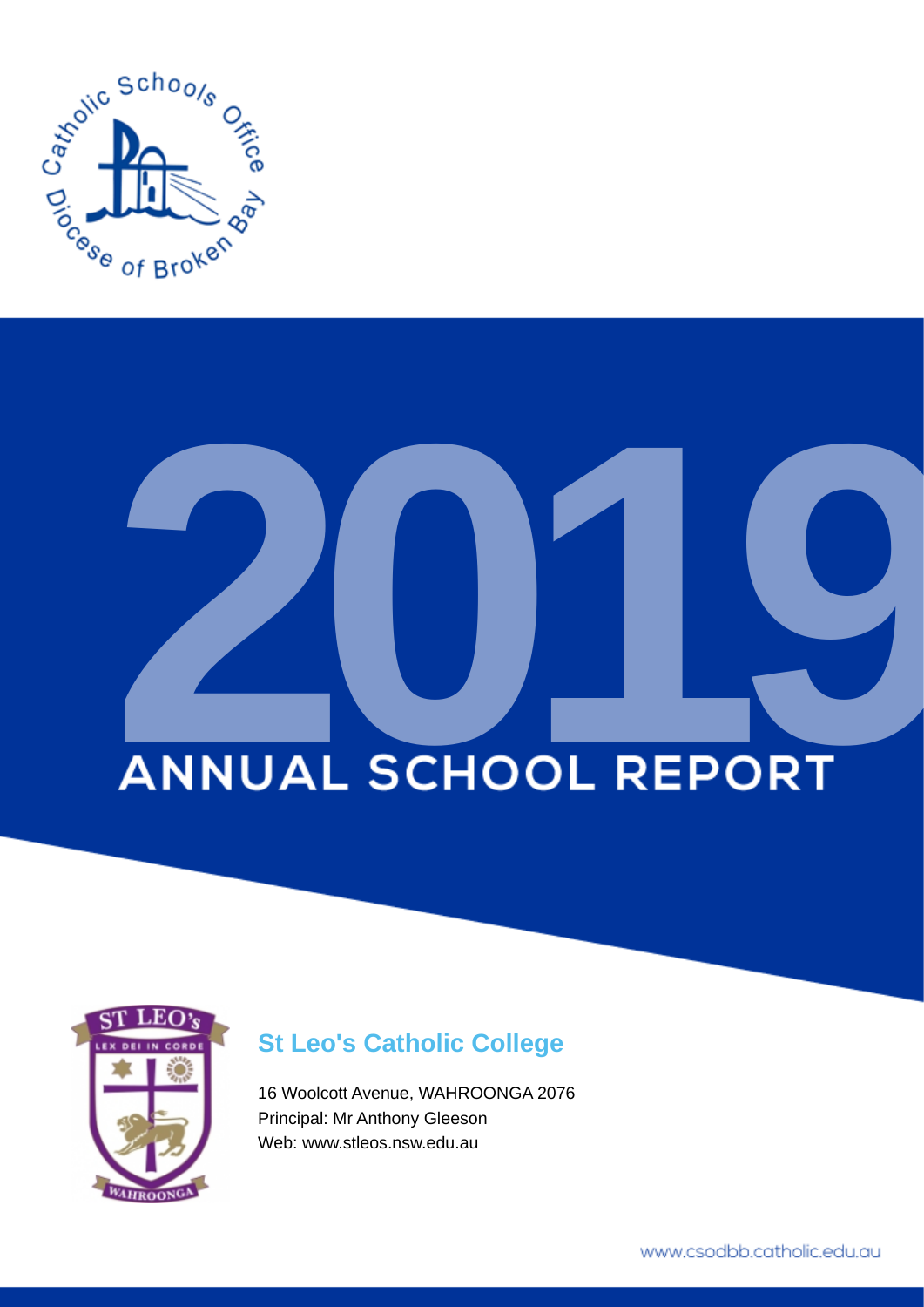

# **ANNUAL SCHOOL REPORT**



# **St Leo's Catholic College**

16 Woolcott Avenue, WAHROONGA 2076 Principal: Mr Anthony Gleeson Web: www.stleos.nsw.edu.au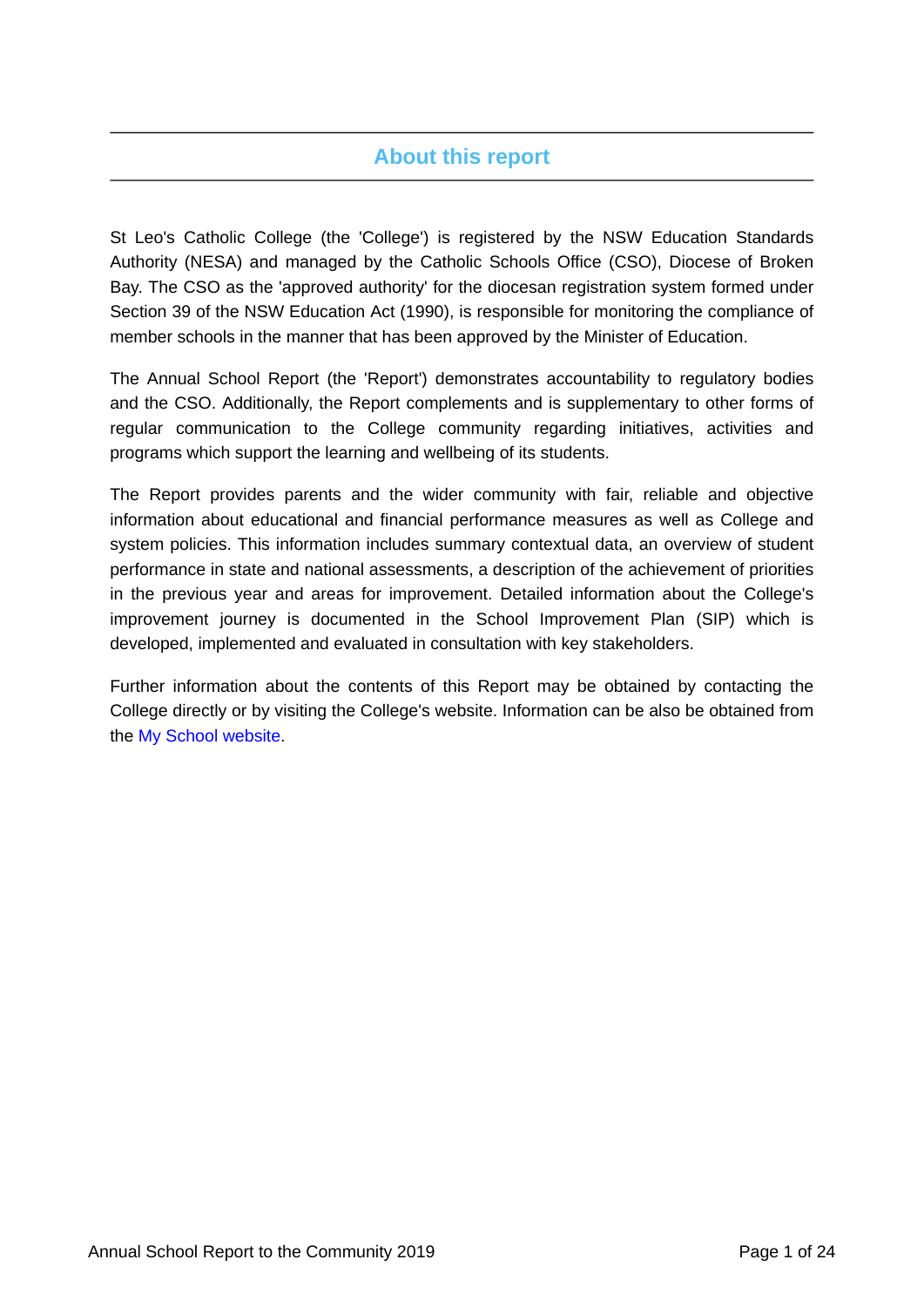# **About this report**

St Leo's Catholic College (the 'College') is registered by the NSW Education Standards Authority (NESA) and managed by the Catholic Schools Office (CSO), Diocese of Broken Bay. The CSO as the 'approved authority' for the diocesan registration system formed under Section 39 of the NSW Education Act (1990), is responsible for monitoring the compliance of member schools in the manner that has been approved by the Minister of Education.

The Annual School Report (the 'Report') demonstrates accountability to regulatory bodies and the CSO. Additionally, the Report complements and is supplementary to other forms of regular communication to the College community regarding initiatives, activities and programs which support the learning and wellbeing of its students.

The Report provides parents and the wider community with fair, reliable and objective information about educational and financial performance measures as well as College and system policies. This information includes summary contextual data, an overview of student performance in state and national assessments, a description of the achievement of priorities in the previous year and areas for improvement. Detailed information about the College's improvement journey is documented in the School Improvement Plan (SIP) which is developed, implemented and evaluated in consultation with key stakeholders.

Further information about the contents of this Report may be obtained by contacting the College directly or by visiting the College's website. Information can be also be obtained from the [My School website.](https://www.myschool.edu.au/)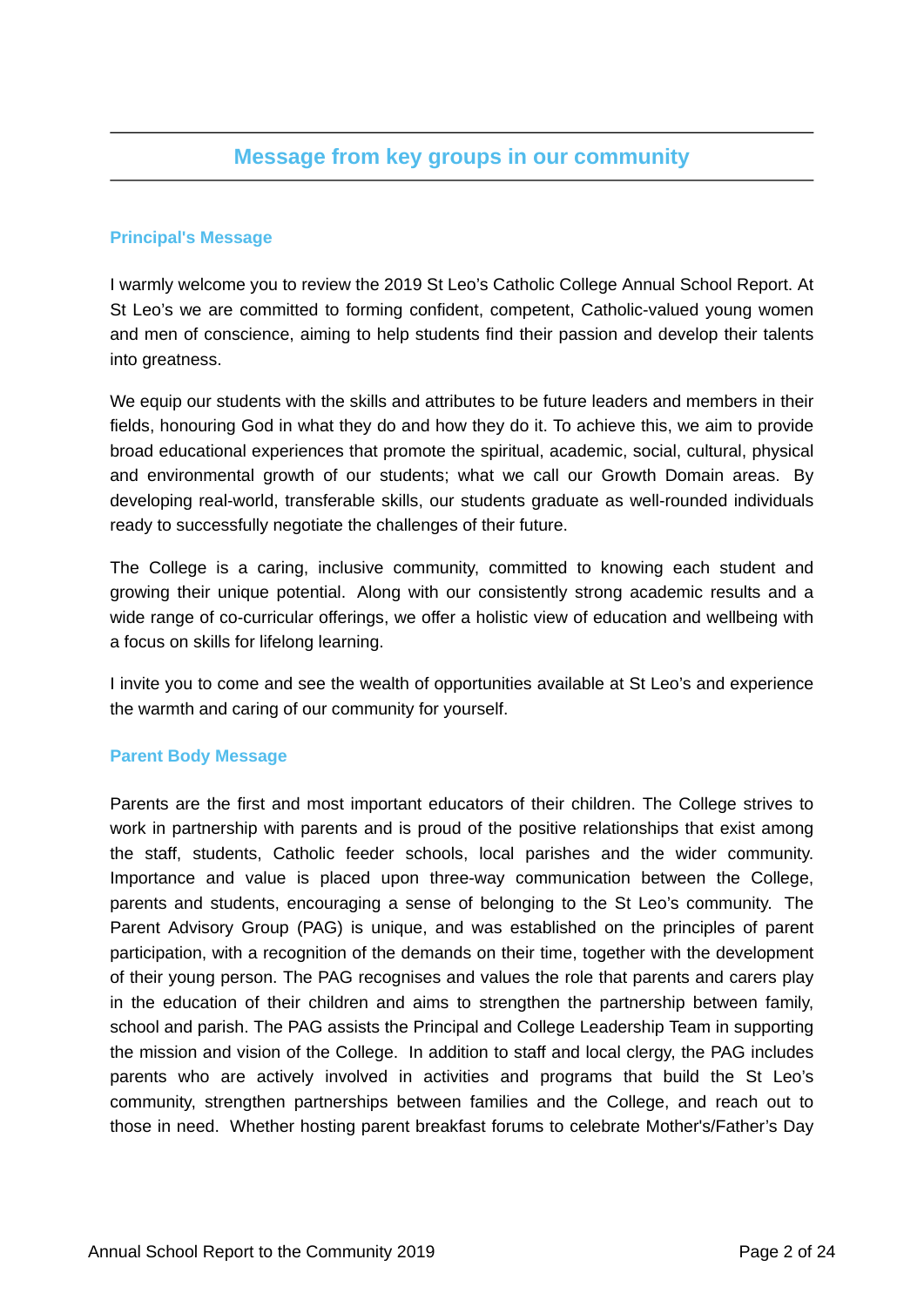# **Message from key groups in our community**

### **Principal's Message**

I warmly welcome you to review the 2019 St Leo's Catholic College Annual School Report. At St Leo's we are committed to forming confident, competent, Catholic-valued young women and men of conscience, aiming to help students find their passion and develop their talents into greatness.

We equip our students with the skills and attributes to be future leaders and members in their fields, honouring God in what they do and how they do it. To achieve this, we aim to provide broad educational experiences that promote the spiritual, academic, social, cultural, physical and environmental growth of our students; what we call our Growth Domain areas. By developing real-world, transferable skills, our students graduate as well-rounded individuals ready to successfully negotiate the challenges of their future.

The College is a caring, inclusive community, committed to knowing each student and growing their unique potential. Along with our consistently strong academic results and a wide range of co-curricular offerings, we offer a holistic view of education and wellbeing with a focus on skills for lifelong learning.

I invite you to come and see the wealth of opportunities available at St Leo's and experience the warmth and caring of our community for yourself.

### **Parent Body Message**

Parents are the first and most important educators of their children. The College strives to work in partnership with parents and is proud of the positive relationships that exist among the staff, students, Catholic feeder schools, local parishes and the wider community. Importance and value is placed upon three-way communication between the College, parents and students, encouraging a sense of belonging to the St Leo's community. The Parent Advisory Group (PAG) is unique, and was established on the principles of parent participation, with a recognition of the demands on their time, together with the development of their young person. The PAG recognises and values the role that parents and carers play in the education of their children and aims to strengthen the partnership between family, school and parish. The PAG assists the Principal and College Leadership Team in supporting the mission and vision of the College. In addition to staff and local clergy, the PAG includes parents who are actively involved in activities and programs that build the St Leo's community, strengthen partnerships between families and the College, and reach out to those in need. Whether hosting parent breakfast forums to celebrate Mother's/Father's Day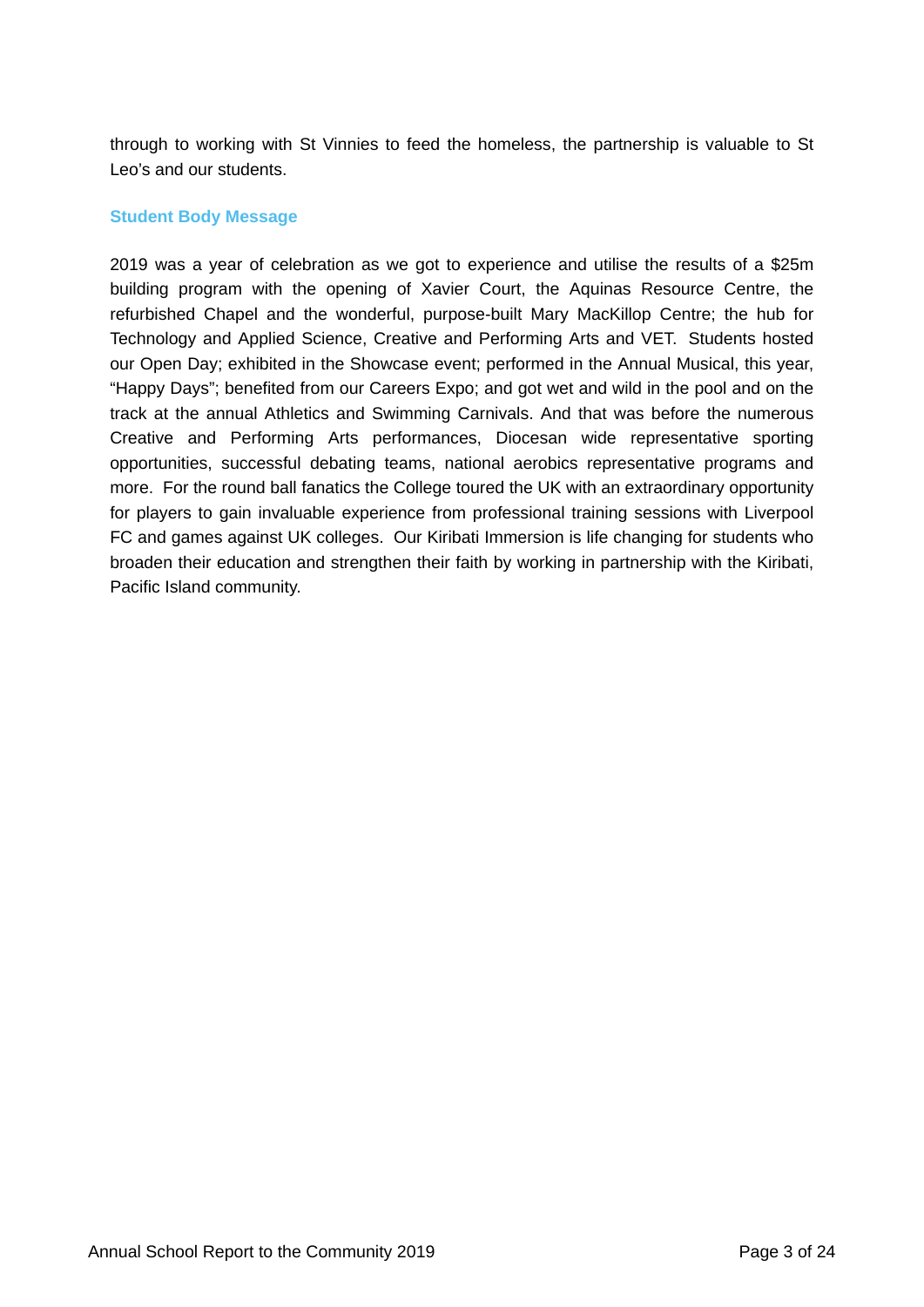through to working with St Vinnies to feed the homeless, the partnership is valuable to St Leo's and our students.

### **Student Body Message**

2019 was a year of celebration as we got to experience and utilise the results of a \$25m building program with the opening of Xavier Court, the Aquinas Resource Centre, the refurbished Chapel and the wonderful, purpose-built Mary MacKillop Centre; the hub for Technology and Applied Science, Creative and Performing Arts and VET. Students hosted our Open Day; exhibited in the Showcase event; performed in the Annual Musical, this year, "Happy Days"; benefited from our Careers Expo; and got wet and wild in the pool and on the track at the annual Athletics and Swimming Carnivals. And that was before the numerous Creative and Performing Arts performances, Diocesan wide representative sporting opportunities, successful debating teams, national aerobics representative programs and more. For the round ball fanatics the College toured the UK with an extraordinary opportunity for players to gain invaluable experience from professional training sessions with Liverpool FC and games against UK colleges. Our Kiribati Immersion is life changing for students who broaden their education and strengthen their faith by working in partnership with the Kiribati, Pacific Island community.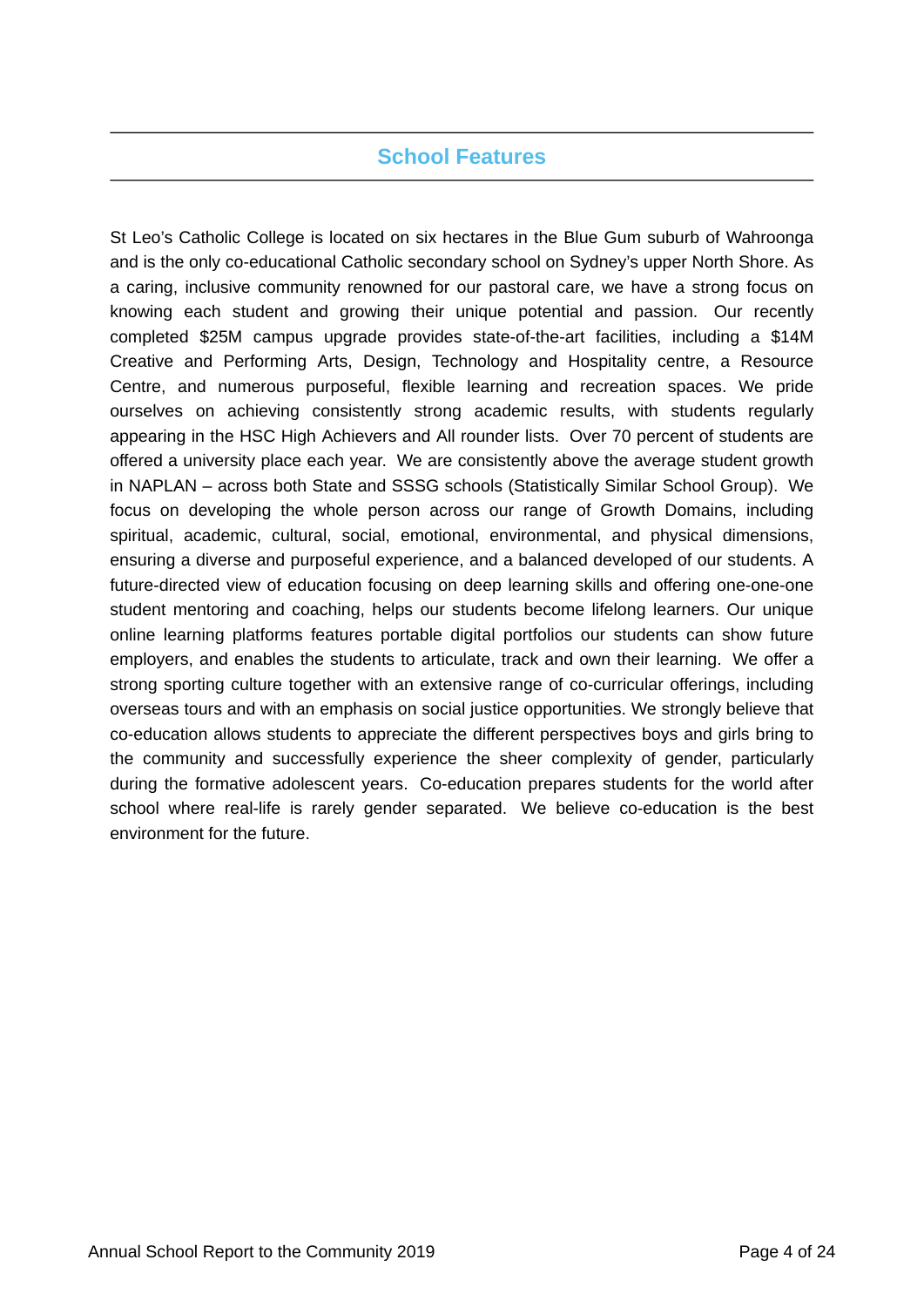# **School Features**

St Leo's Catholic College is located on six hectares in the Blue Gum suburb of Wahroonga and is the only co-educational Catholic secondary school on Sydney's upper North Shore. As a caring, inclusive community renowned for our pastoral care, we have a strong focus on knowing each student and growing their unique potential and passion. Our recently completed \$25M campus upgrade provides state-of-the-art facilities, including a \$14M Creative and Performing Arts, Design, Technology and Hospitality centre, a Resource Centre, and numerous purposeful, flexible learning and recreation spaces. We pride ourselves on achieving consistently strong academic results, with students regularly appearing in the HSC High Achievers and All rounder lists. Over 70 percent of students are offered a university place each year. We are consistently above the average student growth in NAPLAN – across both State and SSSG schools (Statistically Similar School Group). We focus on developing the whole person across our range of Growth Domains, including spiritual, academic, cultural, social, emotional, environmental, and physical dimensions, ensuring a diverse and purposeful experience, and a balanced developed of our students. A future-directed view of education focusing on deep learning skills and offering one-one-one student mentoring and coaching, helps our students become lifelong learners. Our unique online learning platforms features portable digital portfolios our students can show future employers, and enables the students to articulate, track and own their learning. We offer a strong sporting culture together with an extensive range of co-curricular offerings, including overseas tours and with an emphasis on social justice opportunities. We strongly believe that co-education allows students to appreciate the different perspectives boys and girls bring to the community and successfully experience the sheer complexity of gender, particularly during the formative adolescent years. Co-education prepares students for the world after school where real-life is rarely gender separated. We believe co-education is the best environment for the future.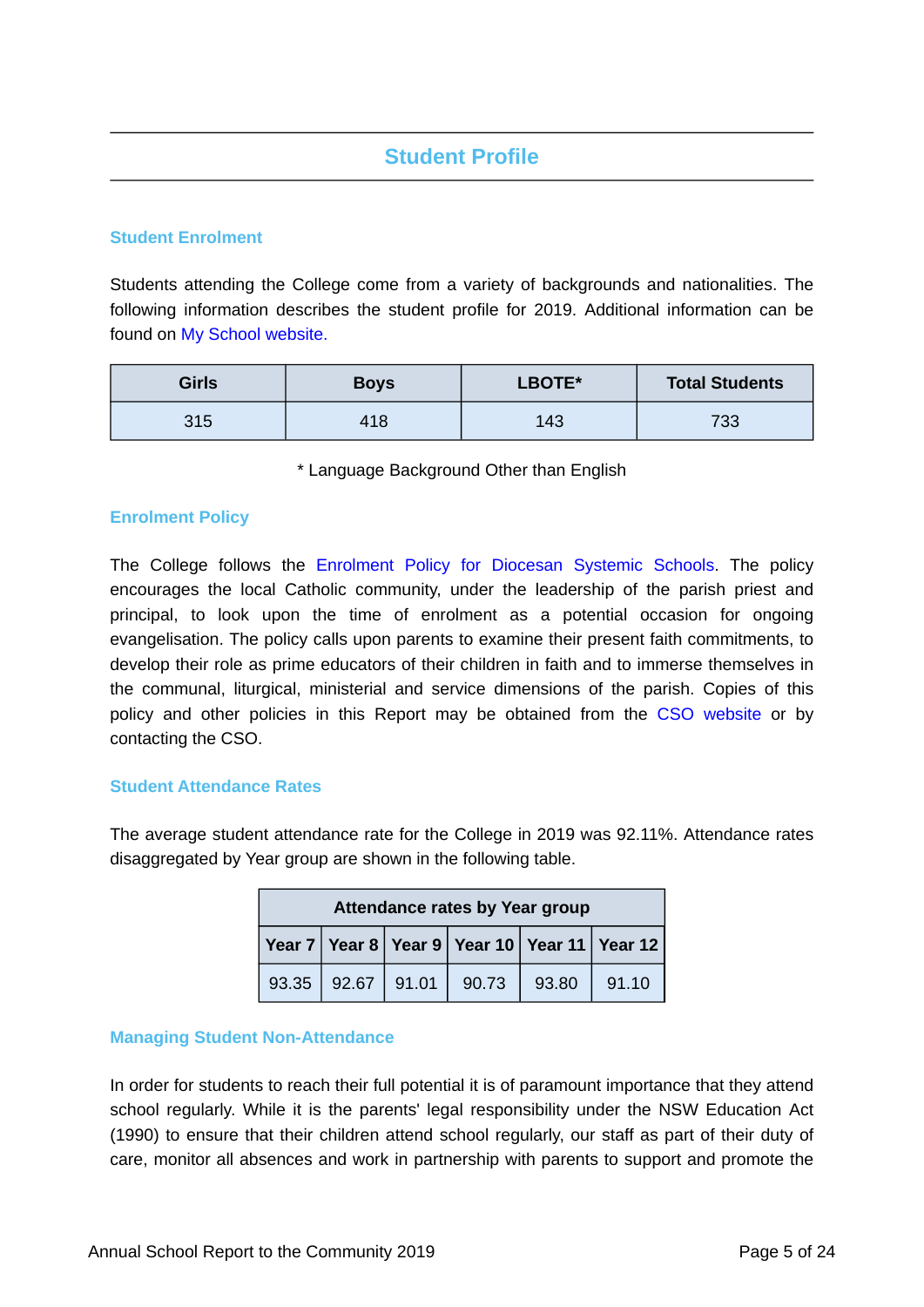# **Student Profile**

### **Student Enrolment**

Students attending the College come from a variety of backgrounds and nationalities. The following information describes the student profile for 2019. Additional information can be found on [My School website.](https://www.myschool.edu.au/)

| <b>Girls</b> | <b>Boys</b> | LBOTE* | <b>Total Students</b> |
|--------------|-------------|--------|-----------------------|
| 315          | 418         | 143    | 733                   |

\* Language Background Other than English

### **Enrolment Policy**

The College follows the [Enrolment Policy for Diocesan Systemic Schools](https://www.csodbb.catholic.edu.au/about/Policies). The policy encourages the local Catholic community, under the leadership of the parish priest and principal, to look upon the time of enrolment as a potential occasion for ongoing evangelisation. The policy calls upon parents to examine their present faith commitments, to develop their role as prime educators of their children in faith and to immerse themselves in the communal, liturgical, ministerial and service dimensions of the parish. Copies of this policy and other policies in this Report may be obtained from the [CSO website](https://www.csodbb.catholic.edu.au/about/Policies) or by contacting the CSO.

### **Student Attendance Rates**

The average student attendance rate for the College in 2019 was 92.11%. Attendance rates disaggregated by Year group are shown in the following table.

| <b>Attendance rates by Year group</b>        |       |       |       |       |       |
|----------------------------------------------|-------|-------|-------|-------|-------|
| Year 7 Year 8 Year 9 Year 10 Year 11 Year 12 |       |       |       |       |       |
| 93.35                                        | 92.67 | 91.01 | 90.73 | 93.80 | 91.10 |

### **Managing Student Non-Attendance**

In order for students to reach their full potential it is of paramount importance that they attend school regularly. While it is the parents' legal responsibility under the NSW Education Act (1990) to ensure that their children attend school regularly, our staff as part of their duty of care, monitor all absences and work in partnership with parents to support and promote the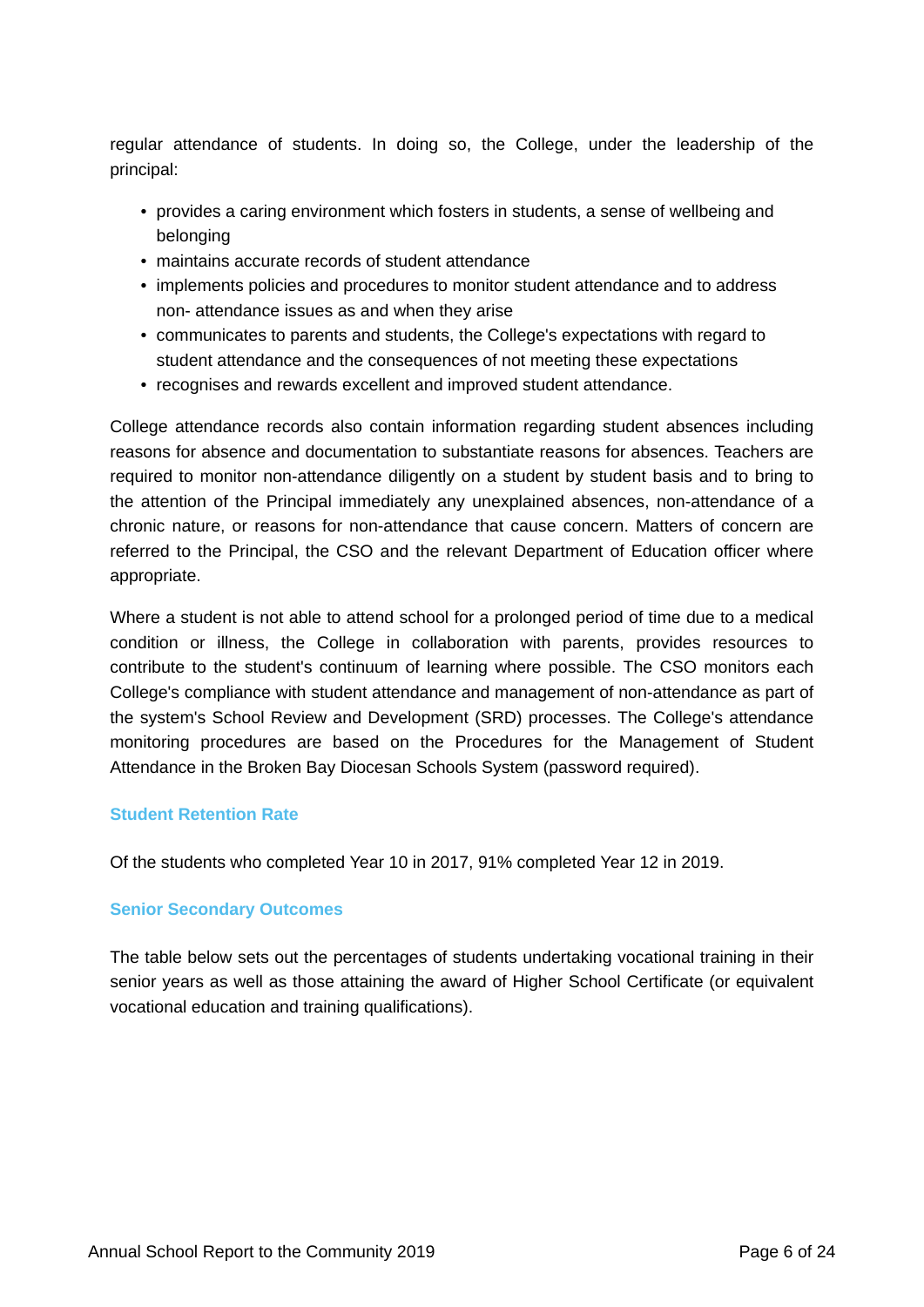regular attendance of students. In doing so, the College, under the leadership of the principal:

- provides a caring environment which fosters in students, a sense of wellbeing and belonging
- maintains accurate records of student attendance
- implements policies and procedures to monitor student attendance and to address non- attendance issues as and when they arise
- communicates to parents and students, the College's expectations with regard to student attendance and the consequences of not meeting these expectations
- recognises and rewards excellent and improved student attendance.

College attendance records also contain information regarding student absences including reasons for absence and documentation to substantiate reasons for absences. Teachers are required to monitor non-attendance diligently on a student by student basis and to bring to the attention of the Principal immediately any unexplained absences, non-attendance of a chronic nature, or reasons for non-attendance that cause concern. Matters of concern are referred to the Principal, the CSO and the relevant Department of Education officer where appropriate.

Where a student is not able to attend school for a prolonged period of time due to a medical condition or illness, the College in collaboration with parents, provides resources to contribute to the student's continuum of learning where possible. The CSO monitors each College's compliance with student attendance and management of non-attendance as part of the system's School Review and Development (SRD) processes. The College's attendance monitoring procedures are based on the Procedures for the Management of Student Attendance in the Broken Bay Diocesan Schools System (password required).

### **Student Retention Rate**

Of the students who completed Year 10 in 2017, 91% completed Year 12 in 2019.

### **Senior Secondary Outcomes**

The table below sets out the percentages of students undertaking vocational training in their senior years as well as those attaining the award of Higher School Certificate (or equivalent vocational education and training qualifications).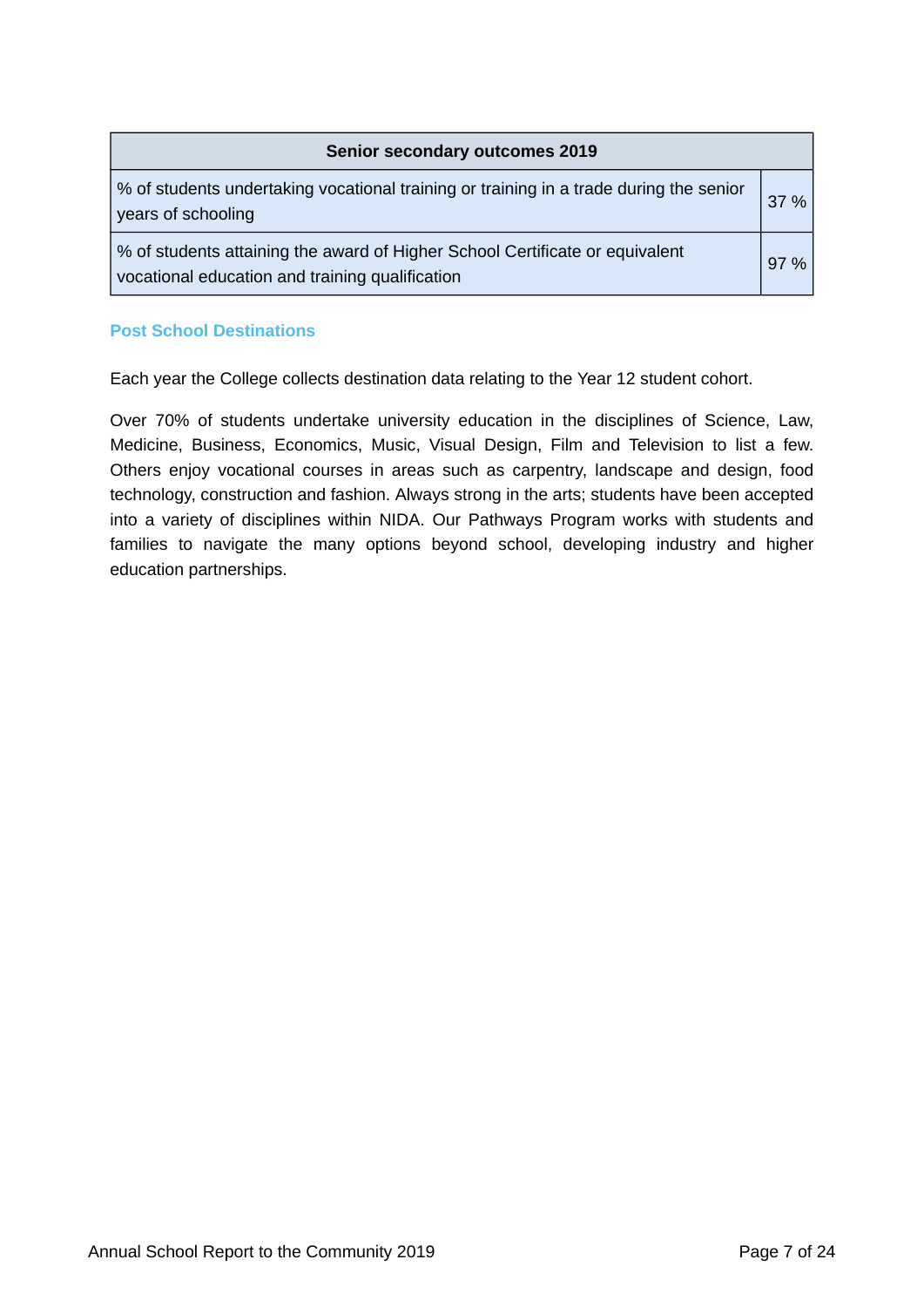| <b>Senior secondary outcomes 2019</b>                                                                                           |        |  |
|---------------------------------------------------------------------------------------------------------------------------------|--------|--|
| % of students undertaking vocational training or training in a trade during the senior<br>years of schooling                    | $37\%$ |  |
| % of students attaining the award of Higher School Certificate or equivalent<br>vocational education and training qualification | $97\%$ |  |

### **Post School Destinations**

Each year the College collects destination data relating to the Year 12 student cohort.

Over 70% of students undertake university education in the disciplines of Science, Law, Medicine, Business, Economics, Music, Visual Design, Film and Television to list a few. Others enjoy vocational courses in areas such as carpentry, landscape and design, food technology, construction and fashion. Always strong in the arts; students have been accepted into a variety of disciplines within NIDA. Our Pathways Program works with students and families to navigate the many options beyond school, developing industry and higher education partnerships.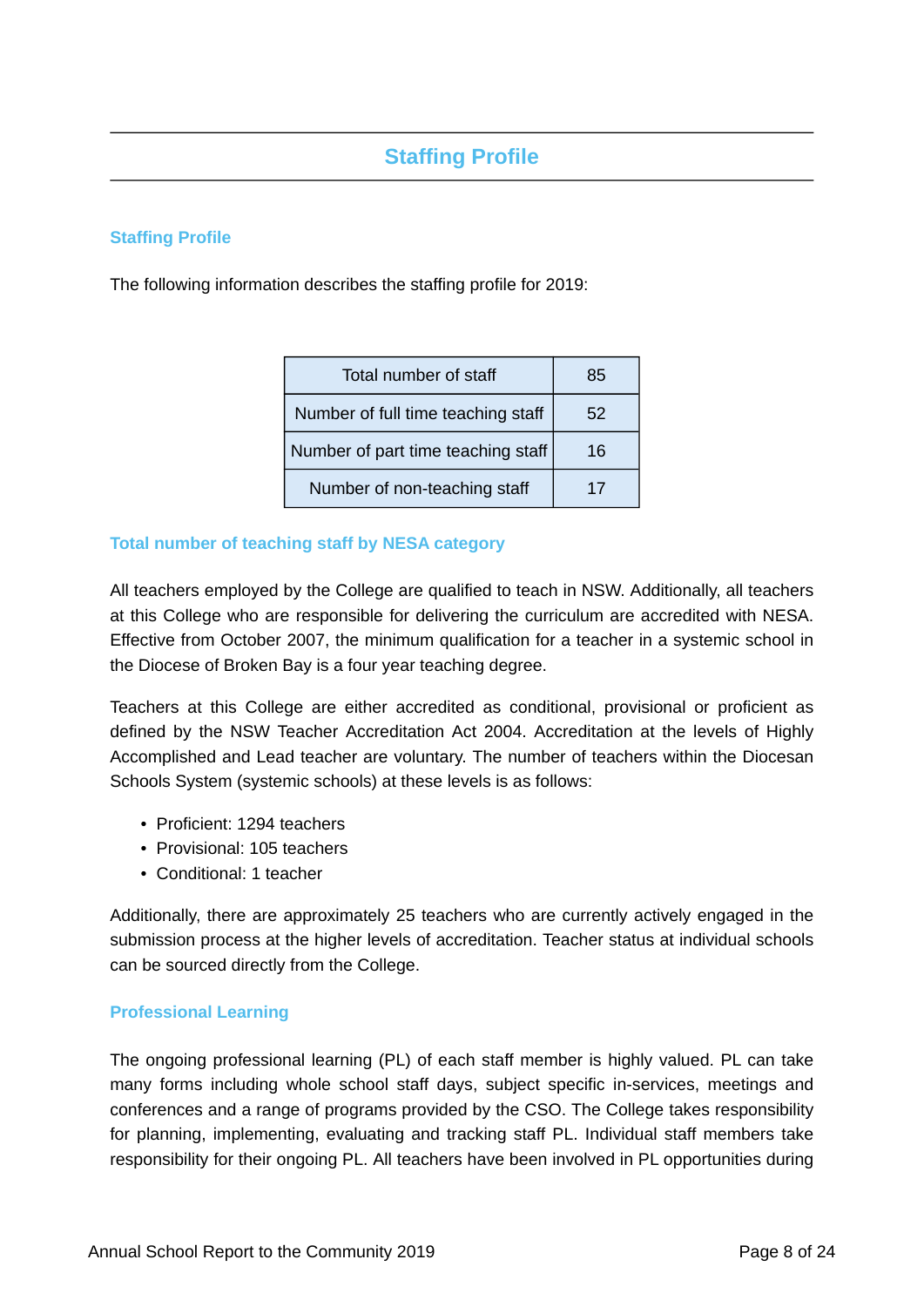# **Staffing Profile**

### **Staffing Profile**

The following information describes the staffing profile for 2019:

| Total number of staff              | 85 |
|------------------------------------|----|
| Number of full time teaching staff | 52 |
| Number of part time teaching staff | 16 |
| Number of non-teaching staff       | 17 |

### **Total number of teaching staff by NESA category**

All teachers employed by the College are qualified to teach in NSW. Additionally, all teachers at this College who are responsible for delivering the curriculum are accredited with NESA. Effective from October 2007, the minimum qualification for a teacher in a systemic school in the Diocese of Broken Bay is a four year teaching degree.

Teachers at this College are either accredited as conditional, provisional or proficient as defined by the NSW Teacher Accreditation Act 2004. Accreditation at the levels of Highly Accomplished and Lead teacher are voluntary. The number of teachers within the Diocesan Schools System (systemic schools) at these levels is as follows:

- Proficient: 1294 teachers
- Provisional: 105 teachers
- Conditional: 1 teacher

Additionally, there are approximately 25 teachers who are currently actively engaged in the submission process at the higher levels of accreditation. Teacher status at individual schools can be sourced directly from the College.

### **Professional Learning**

The ongoing professional learning (PL) of each staff member is highly valued. PL can take many forms including whole school staff days, subject specific in-services, meetings and conferences and a range of programs provided by the CSO. The College takes responsibility for planning, implementing, evaluating and tracking staff PL. Individual staff members take responsibility for their ongoing PL. All teachers have been involved in PL opportunities during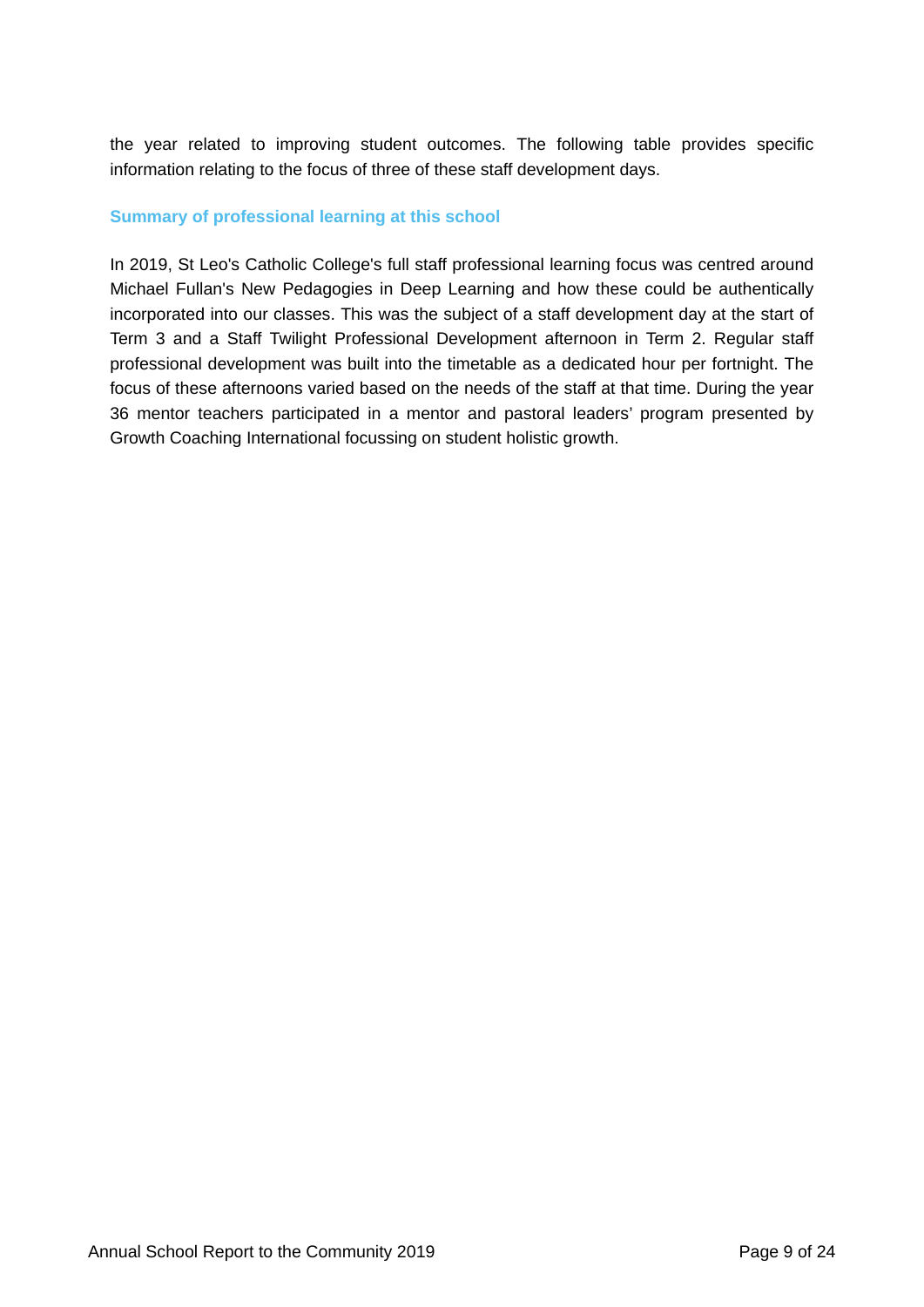the year related to improving student outcomes. The following table provides specific information relating to the focus of three of these staff development days.

### **Summary of professional learning at this school**

In 2019, St Leo's Catholic College's full staff professional learning focus was centred around Michael Fullan's New Pedagogies in Deep Learning and how these could be authentically incorporated into our classes. This was the subject of a staff development day at the start of Term 3 and a Staff Twilight Professional Development afternoon in Term 2. Regular staff professional development was built into the timetable as a dedicated hour per fortnight. The focus of these afternoons varied based on the needs of the staff at that time. During the year 36 mentor teachers participated in a mentor and pastoral leaders' program presented by Growth Coaching International focussing on student holistic growth.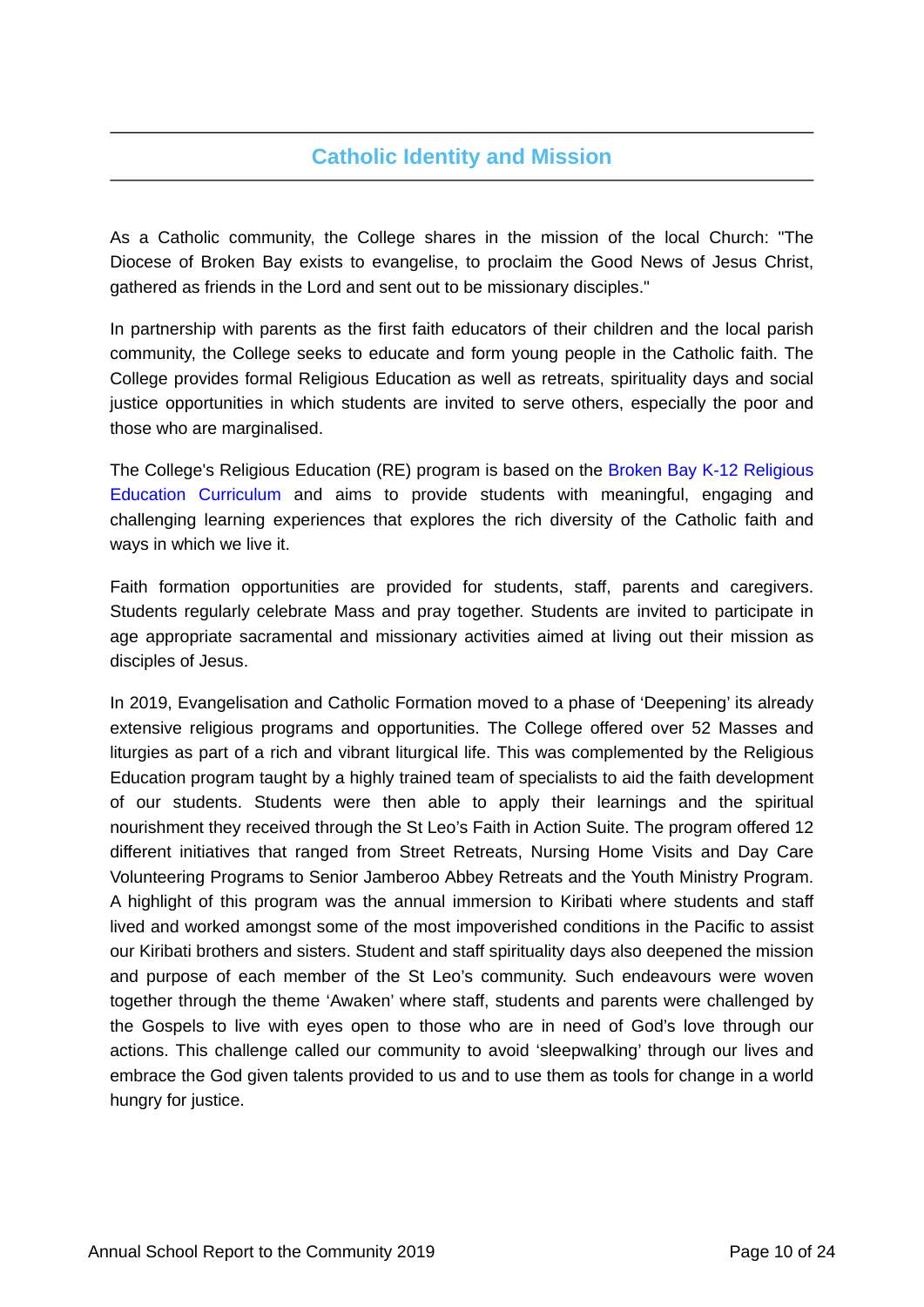# **Catholic Identity and Mission**

As a Catholic community, the College shares in the mission of the local Church: "The Diocese of Broken Bay exists to evangelise, to proclaim the Good News of Jesus Christ, gathered as friends in the Lord and sent out to be missionary disciples."

In partnership with parents as the first faith educators of their children and the local parish community, the College seeks to educate and form young people in the Catholic faith. The College provides formal Religious Education as well as retreats, spirituality days and social justice opportunities in which students are invited to serve others, especially the poor and those who are marginalised.

The College's Religious Education (RE) program is based on the [Broken Bay K-12 Religious](https://www.csodbb.catholic.edu.au/mission/Religious-Education) [Education Curriculum](https://www.csodbb.catholic.edu.au/mission/Religious-Education) and aims to provide students with meaningful, engaging and challenging learning experiences that explores the rich diversity of the Catholic faith and ways in which we live it.

Faith formation opportunities are provided for students, staff, parents and caregivers. Students regularly celebrate Mass and pray together. Students are invited to participate in age appropriate sacramental and missionary activities aimed at living out their mission as disciples of Jesus.

In 2019, Evangelisation and Catholic Formation moved to a phase of 'Deepening' its already extensive religious programs and opportunities. The College offered over 52 Masses and liturgies as part of a rich and vibrant liturgical life. This was complemented by the Religious Education program taught by a highly trained team of specialists to aid the faith development of our students. Students were then able to apply their learnings and the spiritual nourishment they received through the St Leo's Faith in Action Suite. The program offered 12 different initiatives that ranged from Street Retreats, Nursing Home Visits and Day Care Volunteering Programs to Senior Jamberoo Abbey Retreats and the Youth Ministry Program. A highlight of this program was the annual immersion to Kiribati where students and staff lived and worked amongst some of the most impoverished conditions in the Pacific to assist our Kiribati brothers and sisters. Student and staff spirituality days also deepened the mission and purpose of each member of the St Leo's community. Such endeavours were woven together through the theme 'Awaken' where staff, students and parents were challenged by the Gospels to live with eyes open to those who are in need of God's love through our actions. This challenge called our community to avoid 'sleepwalking' through our lives and embrace the God given talents provided to us and to use them as tools for change in a world hungry for justice.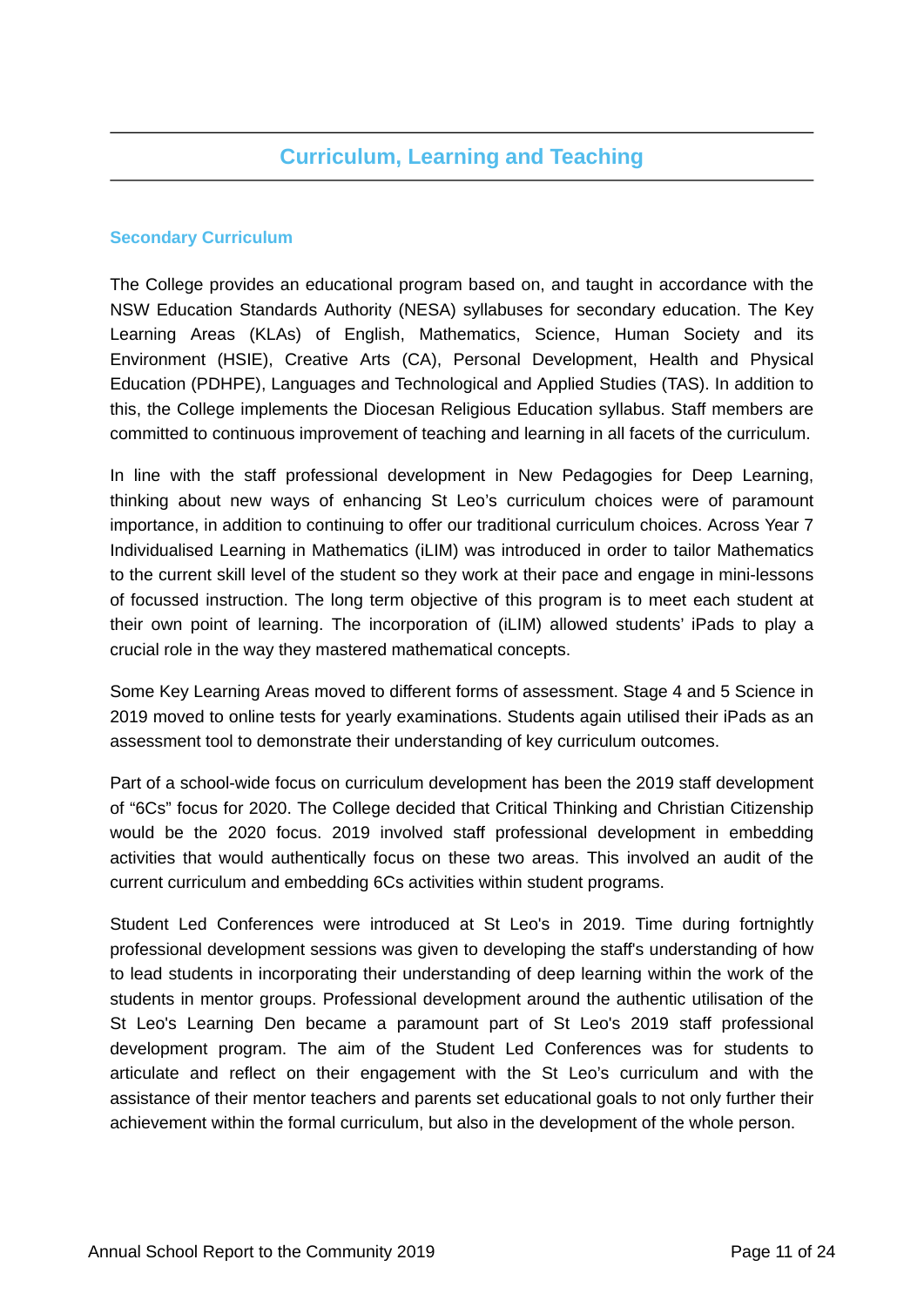# **Curriculum, Learning and Teaching**

### **Secondary Curriculum**

The College provides an educational program based on, and taught in accordance with the NSW Education Standards Authority (NESA) syllabuses for secondary education. The Key Learning Areas (KLAs) of English, Mathematics, Science, Human Society and its Environment (HSIE), Creative Arts (CA), Personal Development, Health and Physical Education (PDHPE), Languages and Technological and Applied Studies (TAS). In addition to this, the College implements the Diocesan Religious Education syllabus. Staff members are committed to continuous improvement of teaching and learning in all facets of the curriculum.

In line with the staff professional development in New Pedagogies for Deep Learning, thinking about new ways of enhancing St Leo's curriculum choices were of paramount importance, in addition to continuing to offer our traditional curriculum choices. Across Year 7 Individualised Learning in Mathematics (iLIM) was introduced in order to tailor Mathematics to the current skill level of the student so they work at their pace and engage in mini-lessons of focussed instruction. The long term objective of this program is to meet each student at their own point of learning. The incorporation of (iLIM) allowed students' iPads to play a crucial role in the way they mastered mathematical concepts.

Some Key Learning Areas moved to different forms of assessment. Stage 4 and 5 Science in 2019 moved to online tests for yearly examinations. Students again utilised their iPads as an assessment tool to demonstrate their understanding of key curriculum outcomes.

Part of a school-wide focus on curriculum development has been the 2019 staff development of "6Cs" focus for 2020. The College decided that Critical Thinking and Christian Citizenship would be the 2020 focus. 2019 involved staff professional development in embedding activities that would authentically focus on these two areas. This involved an audit of the current curriculum and embedding 6Cs activities within student programs.

Student Led Conferences were introduced at St Leo's in 2019. Time during fortnightly professional development sessions was given to developing the staff's understanding of how to lead students in incorporating their understanding of deep learning within the work of the students in mentor groups. Professional development around the authentic utilisation of the St Leo's Learning Den became a paramount part of St Leo's 2019 staff professional development program. The aim of the Student Led Conferences was for students to articulate and reflect on their engagement with the St Leo's curriculum and with the assistance of their mentor teachers and parents set educational goals to not only further their achievement within the formal curriculum, but also in the development of the whole person.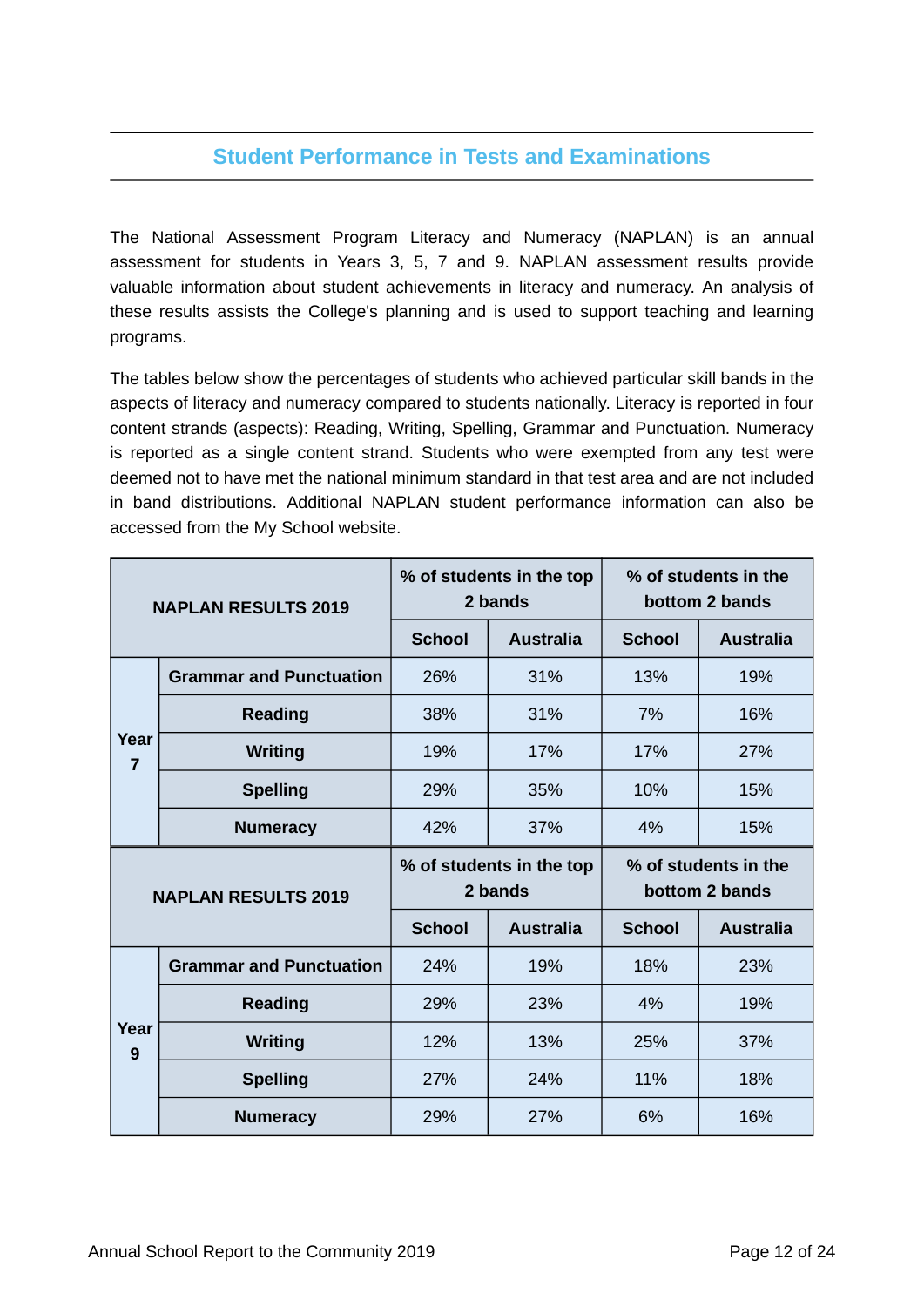# **Student Performance in Tests and Examinations**

The National Assessment Program Literacy and Numeracy (NAPLAN) is an annual assessment for students in Years 3, 5, 7 and 9. NAPLAN assessment results provide valuable information about student achievements in literacy and numeracy. An analysis of these results assists the College's planning and is used to support teaching and learning programs.

The tables below show the percentages of students who achieved particular skill bands in the aspects of literacy and numeracy compared to students nationally. Literacy is reported in four content strands (aspects): Reading, Writing, Spelling, Grammar and Punctuation. Numeracy is reported as a single content strand. Students who were exempted from any test were deemed not to have met the national minimum standard in that test area and are not included in band distributions. Additional NAPLAN student performance information can also be accessed from the My School website.

| <b>NAPLAN RESULTS 2019</b> |                                |               | % of students in the top<br>2 bands | % of students in the<br>bottom 2 bands |                                        |  |
|----------------------------|--------------------------------|---------------|-------------------------------------|----------------------------------------|----------------------------------------|--|
|                            |                                | <b>School</b> | <b>Australia</b>                    | <b>School</b>                          | <b>Australia</b>                       |  |
|                            | <b>Grammar and Punctuation</b> | 26%           | 31%                                 | 13%                                    | 19%                                    |  |
|                            | <b>Reading</b>                 | 38%           | 31%                                 | 7%                                     | 16%                                    |  |
| Year<br>$\overline{7}$     | <b>Writing</b>                 | 19%           | 17%                                 | 17%                                    | 27%                                    |  |
|                            | <b>Spelling</b>                | 29%           | 35%                                 | 10%                                    | 15%                                    |  |
|                            | <b>Numeracy</b>                | 42%           | 37%                                 | 4%                                     | 15%                                    |  |
| <b>NAPLAN RESULTS 2019</b> |                                |               |                                     |                                        |                                        |  |
|                            |                                |               | % of students in the top<br>2 bands |                                        | % of students in the<br>bottom 2 bands |  |
|                            |                                | <b>School</b> | <b>Australia</b>                    | <b>School</b>                          | <b>Australia</b>                       |  |
|                            | <b>Grammar and Punctuation</b> | 24%           | 19%                                 | 18%                                    | 23%                                    |  |
|                            | <b>Reading</b>                 | 29%           | 23%                                 | 4%                                     | 19%                                    |  |
| Year<br>9                  | <b>Writing</b>                 | 12%           | 13%                                 | 25%                                    | 37%                                    |  |
|                            | <b>Spelling</b>                | 27%           | 24%                                 | 11%                                    | 18%                                    |  |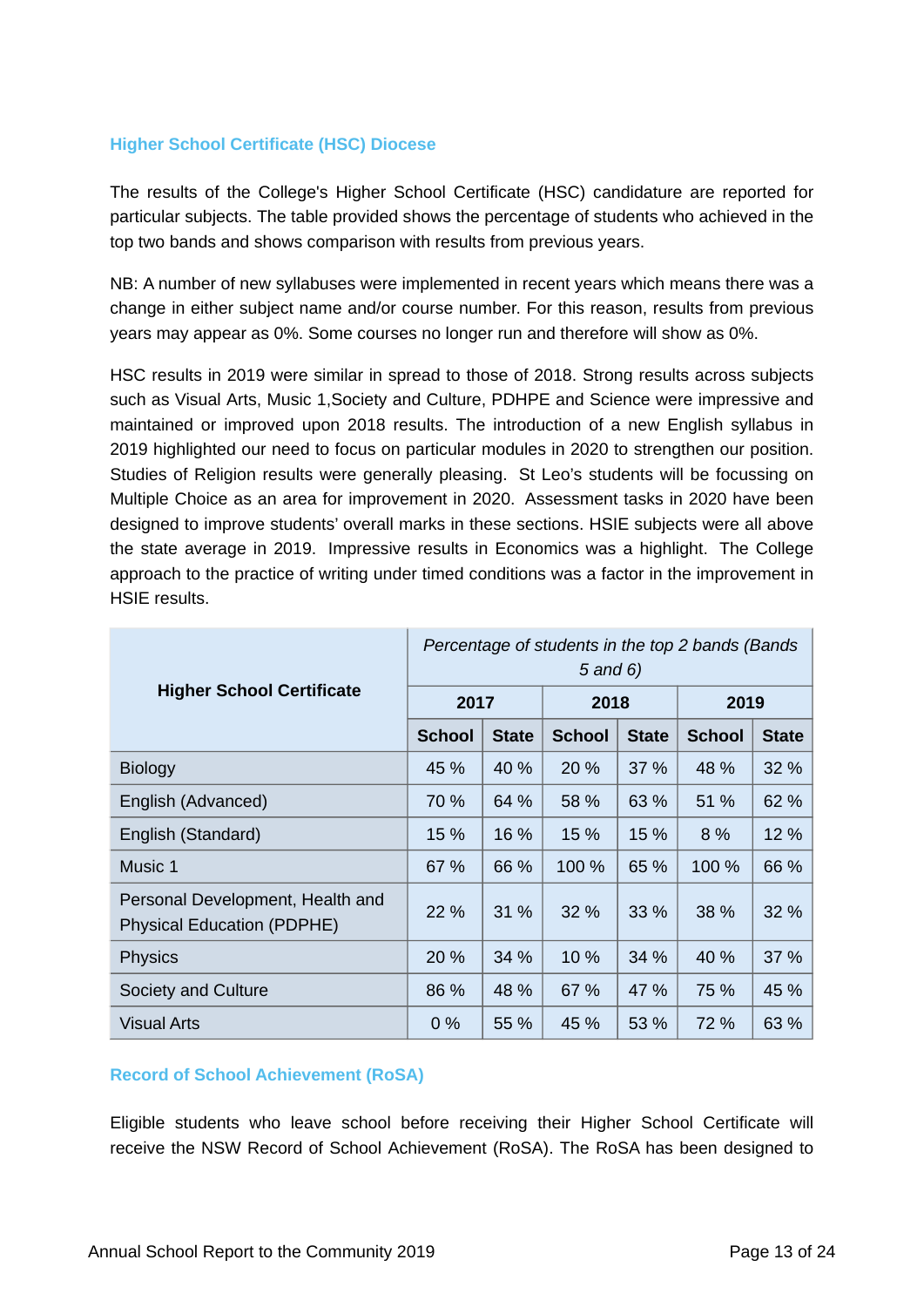### **Higher School Certificate (HSC) Diocese**

The results of the College's Higher School Certificate (HSC) candidature are reported for particular subjects. The table provided shows the percentage of students who achieved in the top two bands and shows comparison with results from previous years.

NB: A number of new syllabuses were implemented in recent years which means there was a change in either subject name and/or course number. For this reason, results from previous years may appear as 0%. Some courses no longer run and therefore will show as 0%.

HSC results in 2019 were similar in spread to those of 2018. Strong results across subjects such as Visual Arts, Music 1,Society and Culture, PDHPE and Science were impressive and maintained or improved upon 2018 results. The introduction of a new English syllabus in 2019 highlighted our need to focus on particular modules in 2020 to strengthen our position. Studies of Religion results were generally pleasing. St Leo's students will be focussing on Multiple Choice as an area for improvement in 2020. Assessment tasks in 2020 have been designed to improve students' overall marks in these sections. HSIE subjects were all above the state average in 2019. Impressive results in Economics was a highlight. The College approach to the practice of writing under timed conditions was a factor in the improvement in HSIE results.

|                                                                       | Percentage of students in the top 2 bands (Bands)<br>5 and 6) |              |               |              |               |              |
|-----------------------------------------------------------------------|---------------------------------------------------------------|--------------|---------------|--------------|---------------|--------------|
| <b>Higher School Certificate</b>                                      | 2017                                                          |              | 2018          |              | 2019          |              |
|                                                                       | <b>School</b>                                                 | <b>State</b> | <b>School</b> | <b>State</b> | <b>School</b> | <b>State</b> |
| <b>Biology</b>                                                        | 45 %                                                          | 40 %         | 20 %          | 37 %         | 48 %          | 32 %         |
| English (Advanced)                                                    | 70 %                                                          | 64 %         | 58 %          | 63 %         | 51 %          | 62 %         |
| English (Standard)                                                    | 15 %                                                          | 16 %         | 15 %          | 15 %         | 8 %           | 12 %         |
| Music 1                                                               | 67 %                                                          | 66 %         | 100 %         | 65 %         | 100 %         | 66 %         |
| Personal Development, Health and<br><b>Physical Education (PDPHE)</b> | 22 %                                                          | 31 %         | 32%           | 33 %         | 38 %          | 32 %         |
| <b>Physics</b>                                                        | 20 %                                                          | 34 %         | 10 %          | 34 %         | 40 %          | 37 %         |
| Society and Culture                                                   | 86 %                                                          | 48 %         | 67 %          | 47 %         | 75 %          | 45 %         |
| <b>Visual Arts</b>                                                    | $0\%$                                                         | 55 %         | 45 %          | 53 %         | 72 %          | 63 %         |

### **Record of School Achievement (RoSA)**

Eligible students who leave school before receiving their Higher School Certificate will receive the NSW Record of School Achievement (RoSA). The RoSA has been designed to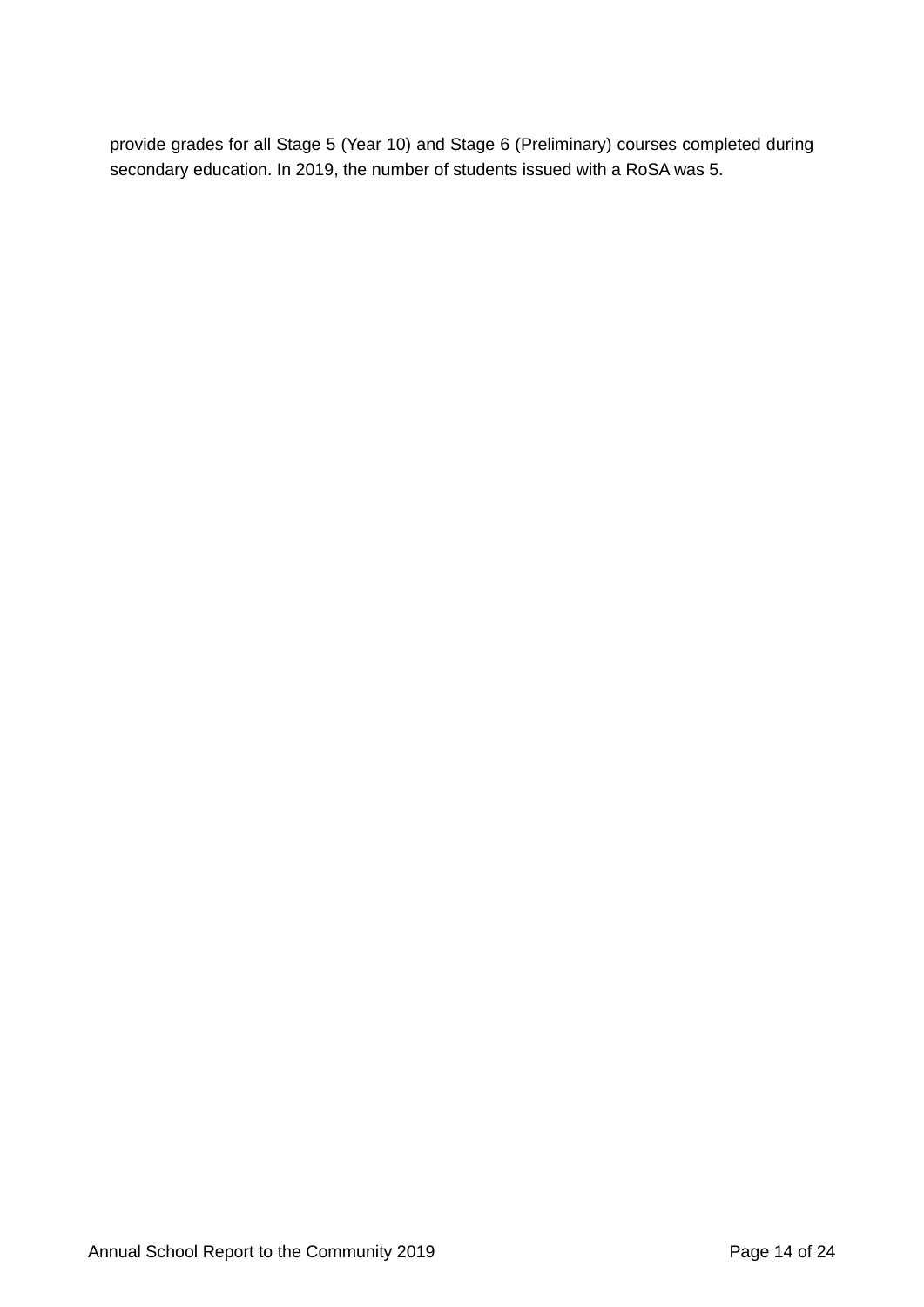provide grades for all Stage 5 (Year 10) and Stage 6 (Preliminary) courses completed during secondary education. In 2019, the number of students issued with a RoSA was 5.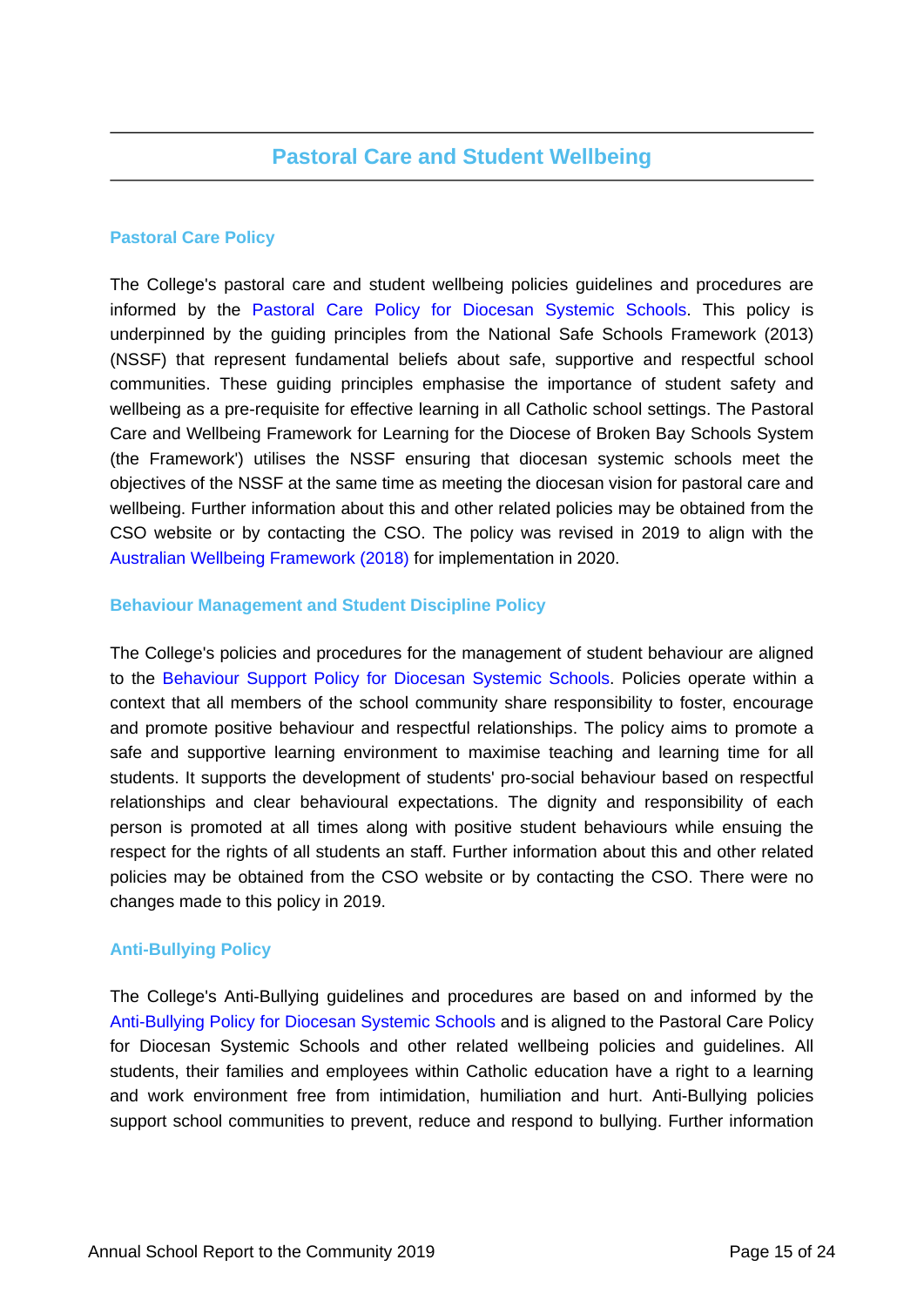### **Pastoral Care Policy**

The College's pastoral care and student wellbeing policies guidelines and procedures are informed by the [Pastoral Care Policy for Diocesan Systemic Schools.](https://www.csodbb.catholic.edu.au/about/Policies) This policy is underpinned by the guiding principles from the National Safe Schools Framework (2013) (NSSF) that represent fundamental beliefs about safe, supportive and respectful school communities. These guiding principles emphasise the importance of student safety and wellbeing as a pre-requisite for effective learning in all Catholic school settings. The Pastoral Care and Wellbeing Framework for Learning for the Diocese of Broken Bay Schools System (the Framework') utilises the NSSF ensuring that diocesan systemic schools meet the objectives of the NSSF at the same time as meeting the diocesan vision for pastoral care and wellbeing. Further information about this and other related policies may be obtained from the CSO website or by contacting the CSO. The policy was revised in 2019 to align with the [Australian Wellbeing Framework \(2018\)](https://studentwellbeinghub.edu.au/educators/framework/) for implementation in 2020.

### **Behaviour Management and Student Discipline Policy**

The College's policies and procedures for the management of student behaviour are aligned to the [Behaviour Support Policy for Diocesan Systemic Schools.](https://www.csodbb.catholic.edu.au/about/Policies) Policies operate within a context that all members of the school community share responsibility to foster, encourage and promote positive behaviour and respectful relationships. The policy aims to promote a safe and supportive learning environment to maximise teaching and learning time for all students. It supports the development of students' pro-social behaviour based on respectful relationships and clear behavioural expectations. The dignity and responsibility of each person is promoted at all times along with positive student behaviours while ensuing the respect for the rights of all students an staff. Further information about this and other related policies may be obtained from the CSO website or by contacting the CSO. There were no changes made to this policy in 2019.

### **Anti-Bullying Policy**

The College's Anti-Bullying guidelines and procedures are based on and informed by the [Anti-Bullying Policy for Diocesan Systemic Schools](https://www.csodbb.catholic.edu.au/about/Policies) and is aligned to the Pastoral Care Policy for Diocesan Systemic Schools and other related wellbeing policies and guidelines. All students, their families and employees within Catholic education have a right to a learning and work environment free from intimidation, humiliation and hurt. Anti-Bullying policies support school communities to prevent, reduce and respond to bullying. Further information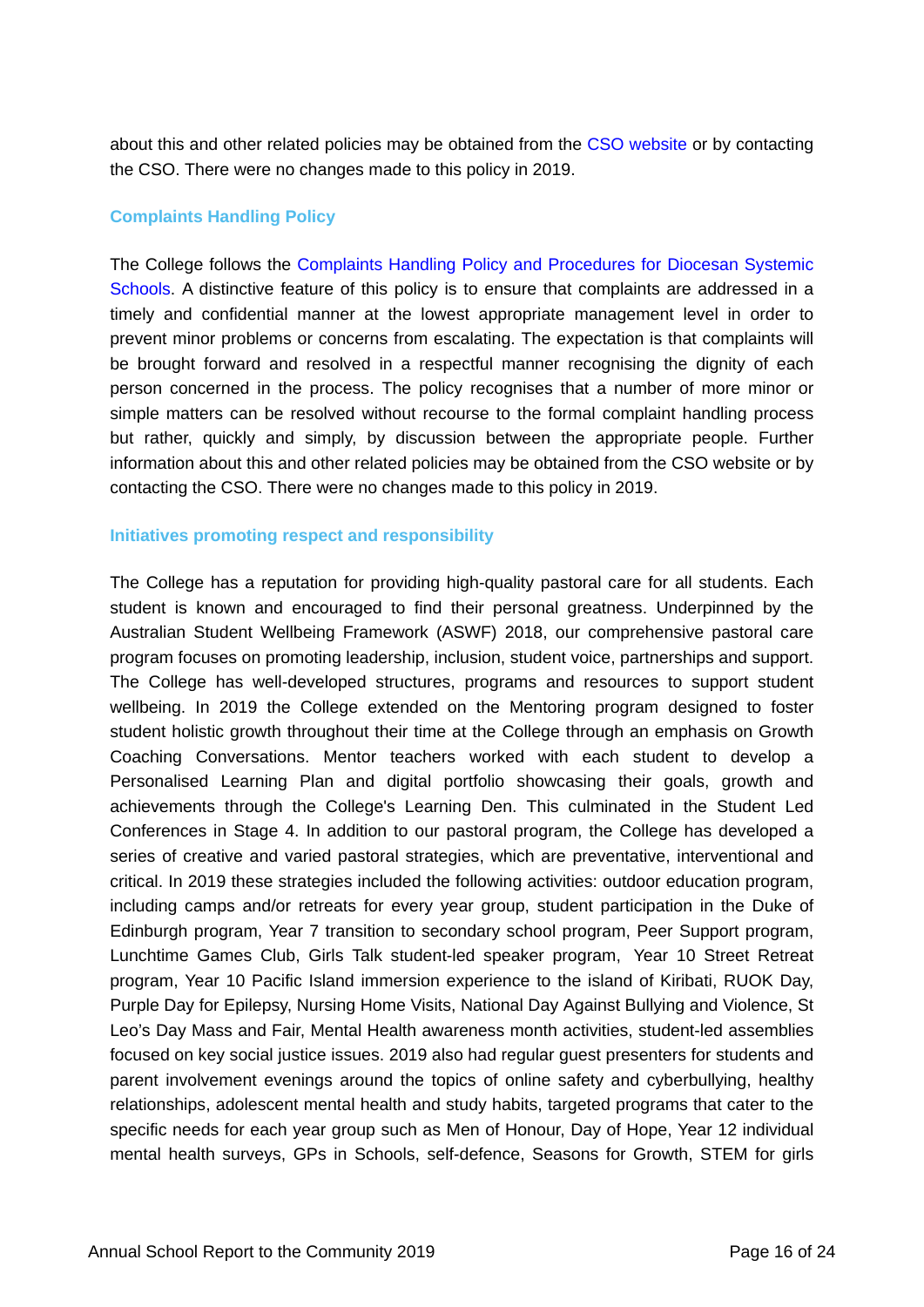about this and other related policies may be obtained from the [CSO website](https://www.csodbb.catholic.edu.au/about/Overview) or by contacting the CSO. There were no changes made to this policy in 2019.

### **Complaints Handling Policy**

The College follows the [Complaints Handling Policy and Procedures for Diocesan Systemic](https://www.csodbb.catholic.edu.au/about/Policies) [Schools.](https://www.csodbb.catholic.edu.au/about/Policies) A distinctive feature of this policy is to ensure that complaints are addressed in a timely and confidential manner at the lowest appropriate management level in order to prevent minor problems or concerns from escalating. The expectation is that complaints will be brought forward and resolved in a respectful manner recognising the dignity of each person concerned in the process. The policy recognises that a number of more minor or simple matters can be resolved without recourse to the formal complaint handling process but rather, quickly and simply, by discussion between the appropriate people. Further information about this and other related policies may be obtained from the CSO website or by contacting the CSO. There were no changes made to this policy in 2019.

### **Initiatives promoting respect and responsibility**

The College has a reputation for providing high-quality pastoral care for all students. Each student is known and encouraged to find their personal greatness. Underpinned by the Australian Student Wellbeing Framework (ASWF) 2018, our comprehensive pastoral care program focuses on promoting leadership, inclusion, student voice, partnerships and support. The College has well-developed structures, programs and resources to support student wellbeing. In 2019 the College extended on the Mentoring program designed to foster student holistic growth throughout their time at the College through an emphasis on Growth Coaching Conversations. Mentor teachers worked with each student to develop a Personalised Learning Plan and digital portfolio showcasing their goals, growth and achievements through the College's Learning Den. This culminated in the Student Led Conferences in Stage 4. In addition to our pastoral program, the College has developed a series of creative and varied pastoral strategies, which are preventative, interventional and critical. In 2019 these strategies included the following activities: outdoor education program, including camps and/or retreats for every year group, student participation in the Duke of Edinburgh program, Year 7 transition to secondary school program, Peer Support program, Lunchtime Games Club, Girls Talk student-led speaker program, Year 10 Street Retreat program, Year 10 Pacific Island immersion experience to the island of Kiribati, RUOK Day, Purple Day for Epilepsy, Nursing Home Visits, National Day Against Bullying and Violence, St Leo's Day Mass and Fair, Mental Health awareness month activities, student-led assemblies focused on key social justice issues. 2019 also had regular guest presenters for students and parent involvement evenings around the topics of online safety and cyberbullying, healthy relationships, adolescent mental health and study habits, targeted programs that cater to the specific needs for each year group such as Men of Honour, Day of Hope, Year 12 individual mental health surveys, GPs in Schools, self-defence, Seasons for Growth, STEM for girls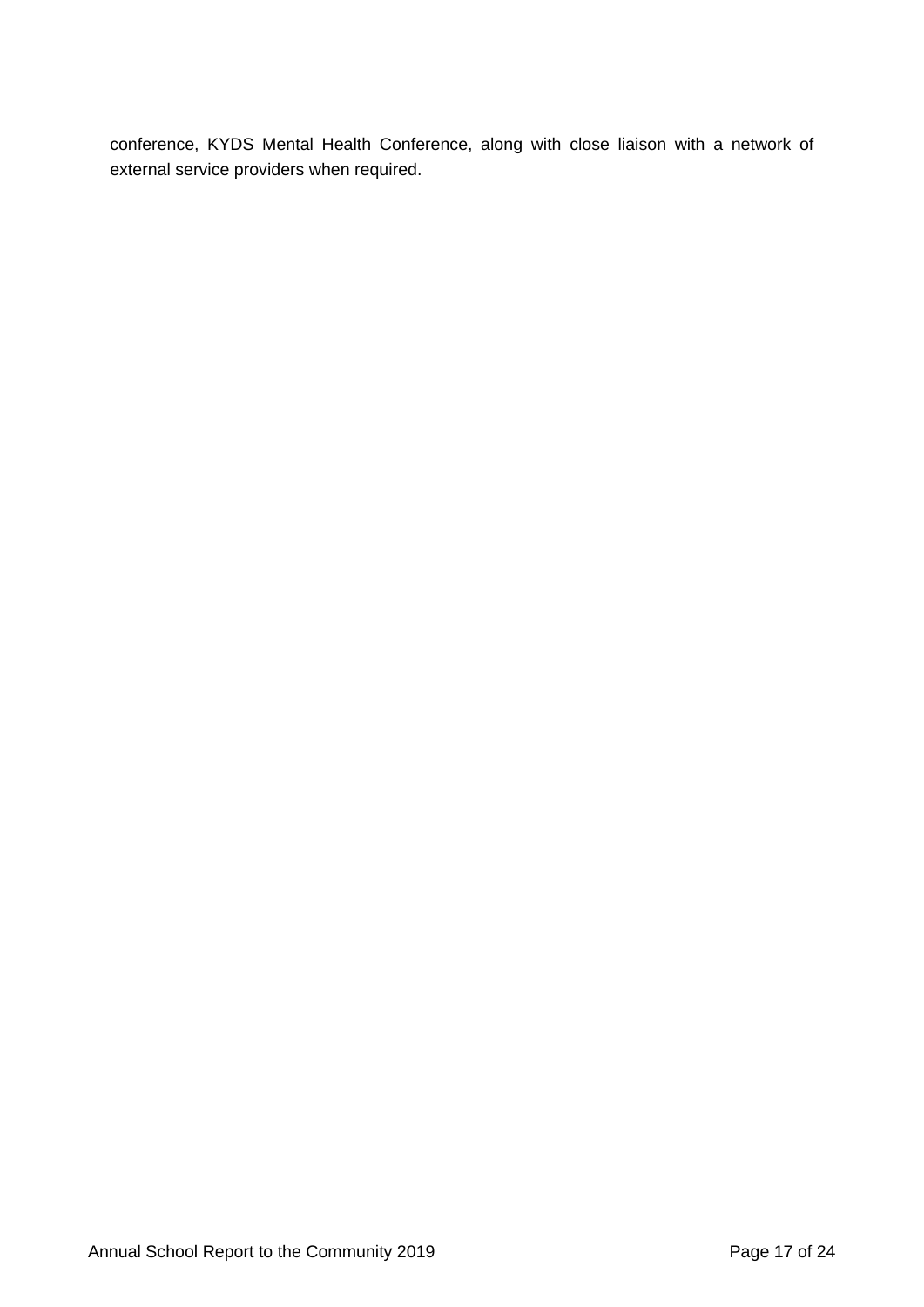conference, KYDS Mental Health Conference, along with close liaison with a network of external service providers when required.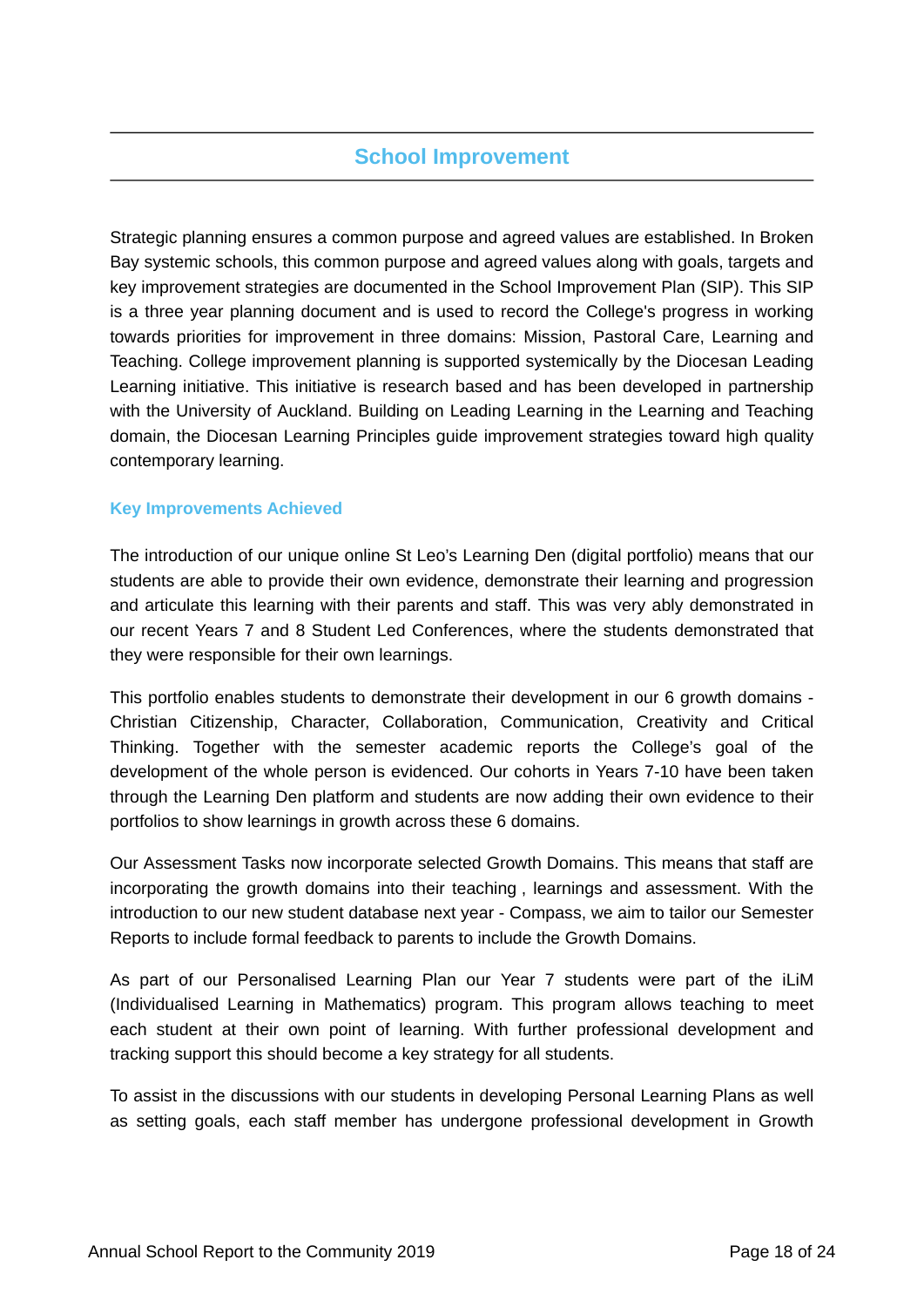# **School Improvement**

Strategic planning ensures a common purpose and agreed values are established. In Broken Bay systemic schools, this common purpose and agreed values along with goals, targets and key improvement strategies are documented in the School Improvement Plan (SIP). This SIP is a three year planning document and is used to record the College's progress in working towards priorities for improvement in three domains: Mission, Pastoral Care, Learning and Teaching. College improvement planning is supported systemically by the Diocesan Leading Learning initiative. This initiative is research based and has been developed in partnership with the University of Auckland. Building on Leading Learning in the Learning and Teaching domain, the Diocesan Learning Principles guide improvement strategies toward high quality contemporary learning.

### **Key Improvements Achieved**

The introduction of our unique online St Leo's Learning Den (digital portfolio) means that our students are able to provide their own evidence, demonstrate their learning and progression and articulate this learning with their parents and staff. This was very ably demonstrated in our recent Years 7 and 8 Student Led Conferences, where the students demonstrated that they were responsible for their own learnings.

This portfolio enables students to demonstrate their development in our 6 growth domains - Christian Citizenship, Character, Collaboration, Communication, Creativity and Critical Thinking. Together with the semester academic reports the College's goal of the development of the whole person is evidenced. Our cohorts in Years 7-10 have been taken through the Learning Den platform and students are now adding their own evidence to their portfolios to show learnings in growth across these 6 domains.

Our Assessment Tasks now incorporate selected Growth Domains. This means that staff are incorporating the growth domains into their teaching , learnings and assessment. With the introduction to our new student database next year - Compass, we aim to tailor our Semester Reports to include formal feedback to parents to include the Growth Domains.

As part of our Personalised Learning Plan our Year 7 students were part of the iLiM (Individualised Learning in Mathematics) program. This program allows teaching to meet each student at their own point of learning. With further professional development and tracking support this should become a key strategy for all students.

To assist in the discussions with our students in developing Personal Learning Plans as well as setting goals, each staff member has undergone professional development in Growth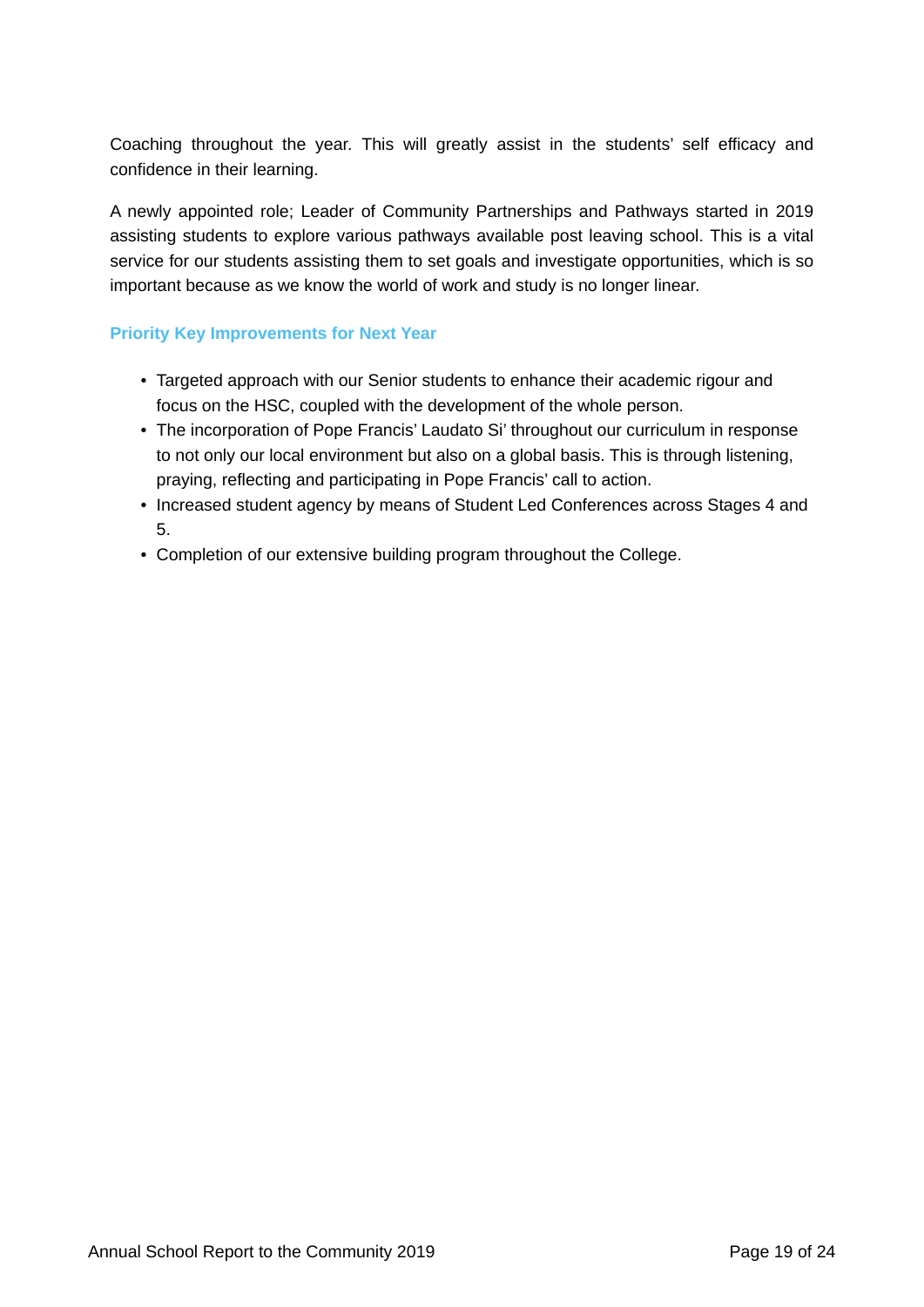Coaching throughout the year. This will greatly assist in the students' self efficacy and confidence in their learning.

A newly appointed role; Leader of Community Partnerships and Pathways started in 2019 assisting students to explore various pathways available post leaving school. This is a vital service for our students assisting them to set goals and investigate opportunities, which is so important because as we know the world of work and study is no longer linear.

### **Priority Key Improvements for Next Year**

- Targeted approach with our Senior students to enhance their academic rigour and focus on the HSC, coupled with the development of the whole person.
- The incorporation of Pope Francis' Laudato Si' throughout our curriculum in response to not only our local environment but also on a global basis. This is through listening, praying, reflecting and participating in Pope Francis' call to action.
- Increased student agency by means of Student Led Conferences across Stages 4 and 5.
- Completion of our extensive building program throughout the College.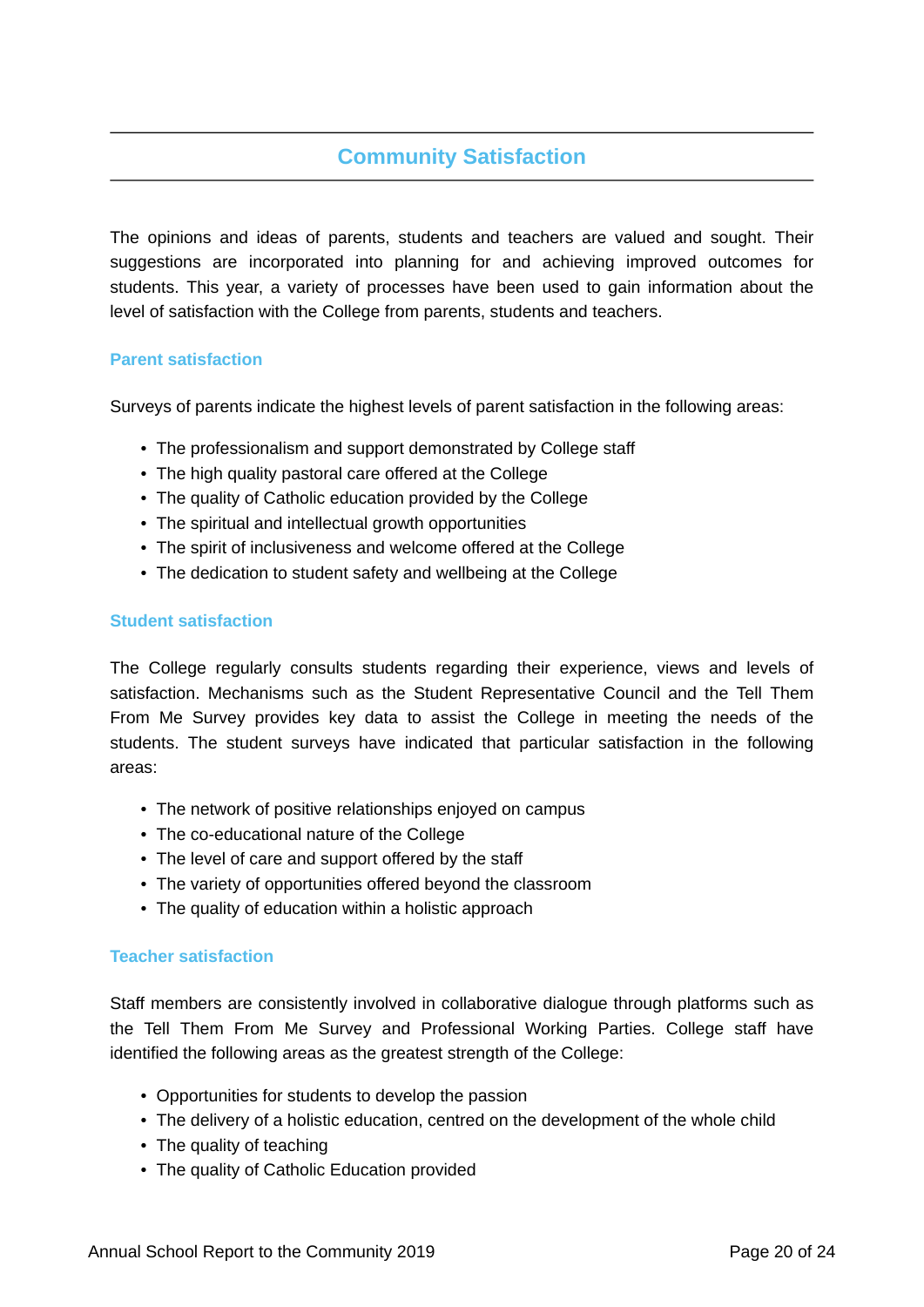# **Community Satisfaction**

The opinions and ideas of parents, students and teachers are valued and sought. Their suggestions are incorporated into planning for and achieving improved outcomes for students. This year, a variety of processes have been used to gain information about the level of satisfaction with the College from parents, students and teachers.

### **Parent satisfaction**

Surveys of parents indicate the highest levels of parent satisfaction in the following areas:

- The professionalism and support demonstrated by College staff
- The high quality pastoral care offered at the College
- The quality of Catholic education provided by the College
- The spiritual and intellectual growth opportunities
- The spirit of inclusiveness and welcome offered at the College
- The dedication to student safety and wellbeing at the College

### **Student satisfaction**

The College regularly consults students regarding their experience, views and levels of satisfaction. Mechanisms such as the Student Representative Council and the Tell Them From Me Survey provides key data to assist the College in meeting the needs of the students. The student surveys have indicated that particular satisfaction in the following areas:

- The network of positive relationships enjoyed on campus
- The co-educational nature of the College
- The level of care and support offered by the staff
- The variety of opportunities offered beyond the classroom
- The quality of education within a holistic approach

### **Teacher satisfaction**

Staff members are consistently involved in collaborative dialogue through platforms such as the Tell Them From Me Survey and Professional Working Parties. College staff have identified the following areas as the greatest strength of the College:

- Opportunities for students to develop the passion
- The delivery of a holistic education, centred on the development of the whole child
- The quality of teaching
- The quality of Catholic Education provided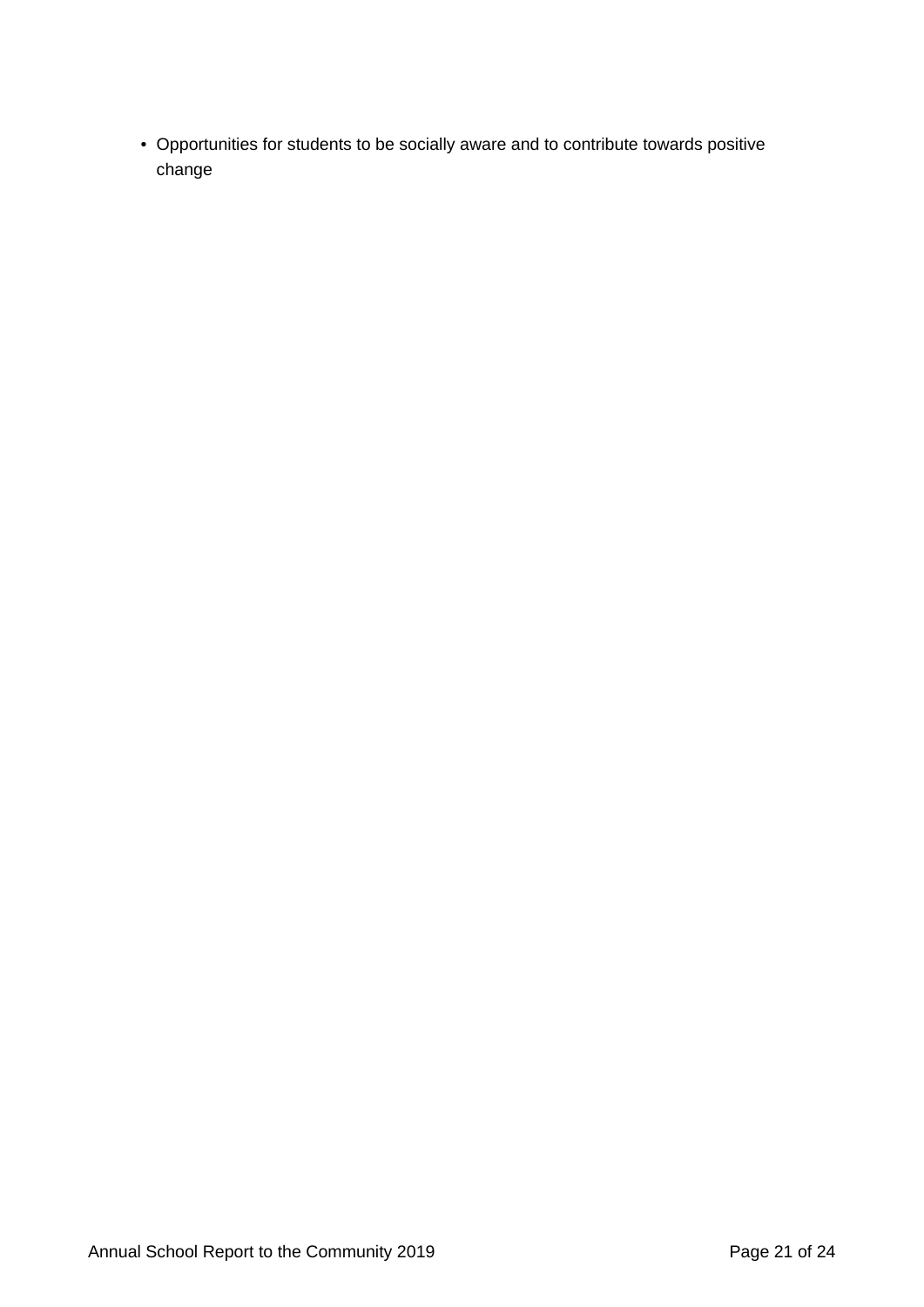• Opportunities for students to be socially aware and to contribute towards positive change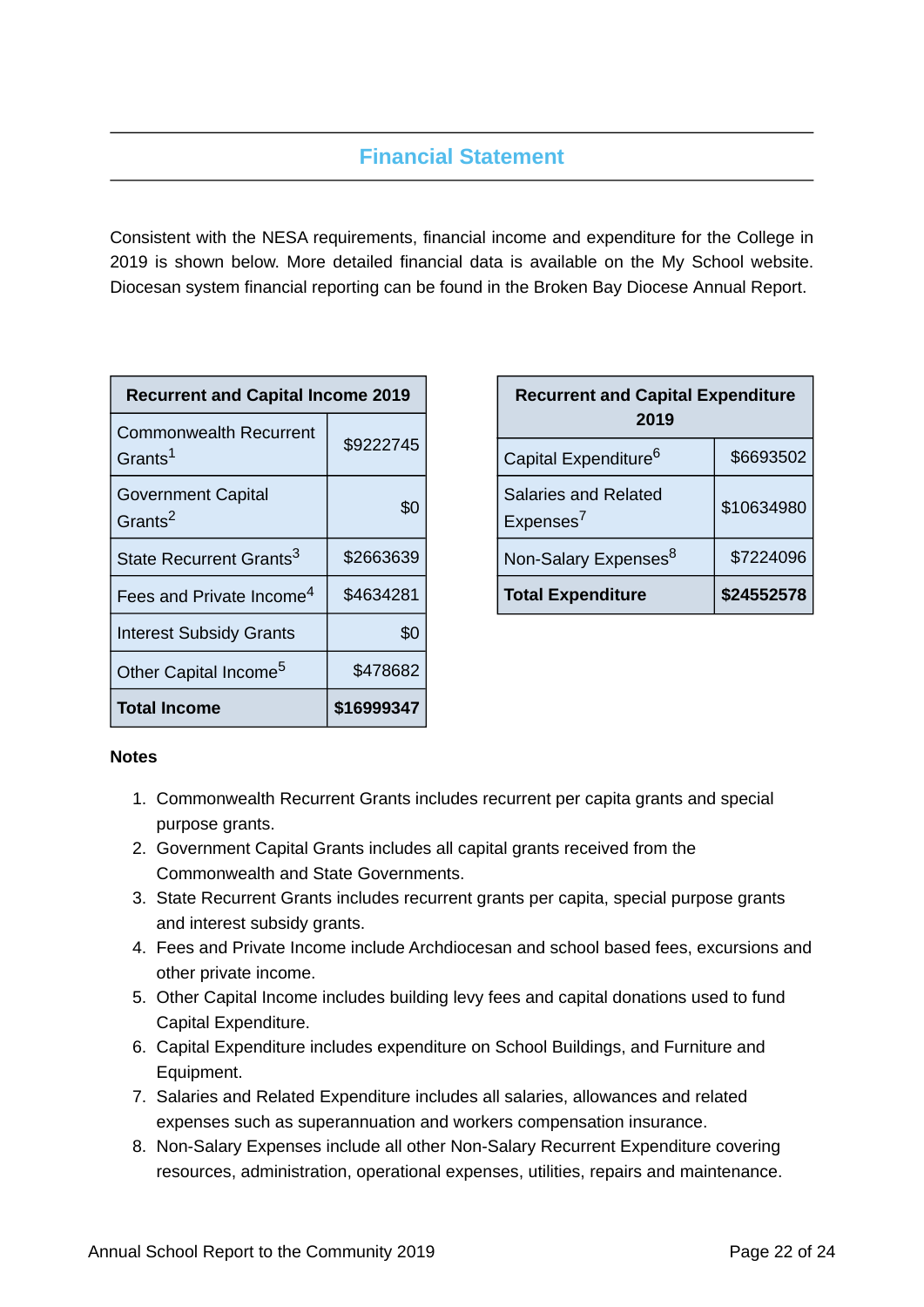# **Financial Statement**

Consistent with the NESA requirements, financial income and expenditure for the College in 2019 is shown below. More detailed financial data is available on the My School website. Diocesan system financial reporting can be found in the Broken Bay Diocese Annual Report.

| <b>Recurrent and Capital Income 2019</b>             |            |  |
|------------------------------------------------------|------------|--|
| <b>Commonwealth Recurrent</b><br>Grants <sup>1</sup> | \$9222745  |  |
| <b>Government Capital</b><br>Grants <sup>2</sup>     | \$0        |  |
| State Recurrent Grants <sup>3</sup>                  | \$2663639  |  |
| Fees and Private Income <sup>4</sup>                 | \$4634281  |  |
| <b>Interest Subsidy Grants</b>                       | \$0        |  |
| Other Capital Income <sup>5</sup>                    | \$478682   |  |
| <b>Total Income</b>                                  | \$16999347 |  |

| <b>Recurrent and Capital Expenditure</b><br>2019     |            |  |
|------------------------------------------------------|------------|--|
| Capital Expenditure <sup>6</sup>                     | \$6693502  |  |
| <b>Salaries and Related</b><br>Expenses <sup>7</sup> | \$10634980 |  |
| Non-Salary Expenses <sup>8</sup>                     | \$7224096  |  |
| <b>Total Expenditure</b>                             | \$24552578 |  |

### **Notes**

- 1. Commonwealth Recurrent Grants includes recurrent per capita grants and special purpose grants.
- 2. Government Capital Grants includes all capital grants received from the Commonwealth and State Governments.
- 3. State Recurrent Grants includes recurrent grants per capita, special purpose grants and interest subsidy grants.
- 4. Fees and Private Income include Archdiocesan and school based fees, excursions and other private income.
- 5. Other Capital Income includes building levy fees and capital donations used to fund Capital Expenditure.
- 6. Capital Expenditure includes expenditure on School Buildings, and Furniture and Equipment.
- 7. Salaries and Related Expenditure includes all salaries, allowances and related expenses such as superannuation and workers compensation insurance.
- 8. Non-Salary Expenses include all other Non-Salary Recurrent Expenditure covering resources, administration, operational expenses, utilities, repairs and maintenance.